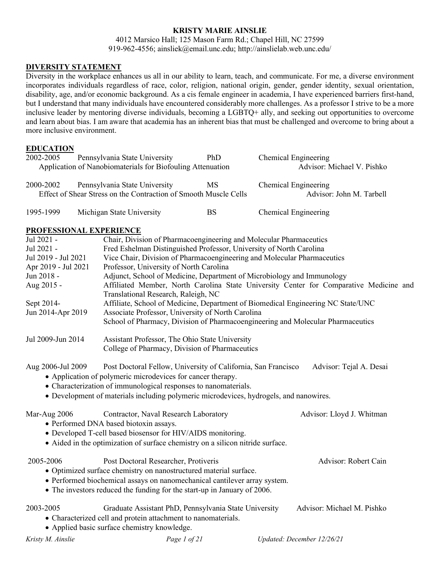## **KRISTY MARIE AINSLIE**

4012 Marsico Hall; 125 Mason Farm Rd.; Chapel Hill, NC 27599 919-962-4556; ainsliek@email.unc.edu; http://ainslielab.web.unc.edu/

#### **DIVERSITY STATEMENT**

Diversity in the workplace enhances us all in our ability to learn, teach, and communicate. For me, a diverse environment incorporates individuals regardless of race, color, religion, national origin, gender, gender identity, sexual orientation, disability, age, and/or economic background. As a cis female engineer in academia, I have experienced barriers first-hand, but I understand that many individuals have encountered considerably more challenges. As a professor I strive to be a more inclusive leader by mentoring diverse individuals, becoming a LGBTQ+ ally, and seeking out opportunities to overcome and learn about bias. I am aware that academia has an inherent bias that must be challenged and overcome to bring about a more inclusive environment.

#### **EDUCATION**

| 2002-2005 | Pennsylvania State University                                                                     | <b>PhD</b>                 | Chemical Engineering                             |
|-----------|---------------------------------------------------------------------------------------------------|----------------------------|--------------------------------------------------|
|           | Application of Nanobiomaterials for Biofouling Attenuation                                        | Advisor: Michael V. Pishko |                                                  |
| 2000-2002 | Pennsylvania State University<br>Effect of Shear Stress on the Contraction of Smooth Muscle Cells | MS                         | Chemical Engineering<br>Advisor: John M. Tarbell |
| 1995-1999 | Michigan State University                                                                         | BS                         | Chemical Engineering                             |

#### **PROFESSIONAL EXPERIENCE**

| <b>THOT EDDIOTHE EAT ERRETTCE</b> |                                                                                                                                                                                                                                                                                           |                                                                                        |
|-----------------------------------|-------------------------------------------------------------------------------------------------------------------------------------------------------------------------------------------------------------------------------------------------------------------------------------------|----------------------------------------------------------------------------------------|
| Jul 2021 -                        | Chair, Division of Pharmacoengineering and Molecular Pharmaceutics                                                                                                                                                                                                                        |                                                                                        |
| Jul 2021 -                        | Fred Eshelman Distinguished Professor, University of North Carolina                                                                                                                                                                                                                       |                                                                                        |
| Jul 2019 - Jul 2021               | Vice Chair, Division of Pharmacoengineering and Molecular Pharmaceutics                                                                                                                                                                                                                   |                                                                                        |
| Apr 2019 - Jul 2021               | Professor, University of North Carolina                                                                                                                                                                                                                                                   |                                                                                        |
| Jun 2018 -                        | Adjunct, School of Medicine, Department of Microbiology and Immunology                                                                                                                                                                                                                    |                                                                                        |
| Aug 2015 -                        |                                                                                                                                                                                                                                                                                           | Affiliated Member, North Carolina State University Center for Comparative Medicine and |
|                                   | Translational Research, Raleigh, NC                                                                                                                                                                                                                                                       |                                                                                        |
| Sept 2014-                        |                                                                                                                                                                                                                                                                                           | Affiliate, School of Medicine, Department of Biomedical Engineering NC State/UNC       |
| Jun 2014-Apr 2019                 | Associate Professor, University of North Carolina                                                                                                                                                                                                                                         |                                                                                        |
|                                   |                                                                                                                                                                                                                                                                                           | School of Pharmacy, Division of Pharmacoengineering and Molecular Pharmaceutics        |
| Jul 2009-Jun 2014                 | Assistant Professor, The Ohio State University                                                                                                                                                                                                                                            |                                                                                        |
|                                   | College of Pharmacy, Division of Pharmaceutics                                                                                                                                                                                                                                            |                                                                                        |
| Aug 2006-Jul 2009                 | Post Doctoral Fellow, University of California, San Francisco<br>• Application of polymeric microdevices for cancer therapy.<br>• Characterization of immunological responses to nanomaterials.<br>• Development of materials including polymeric microdevices, hydrogels, and nanowires. | Advisor: Tejal A. Desai                                                                |
| Mar-Aug 2006                      | Contractor, Naval Research Laboratory<br>• Performed DNA based biotoxin assays.<br>• Developed T-cell based biosensor for HIV/AIDS monitoring.<br>• Aided in the optimization of surface chemistry on a silicon nitride surface.                                                          | Advisor: Lloyd J. Whitman                                                              |
| 2005-2006                         | Post Doctoral Researcher, Protiveris<br>· Optimized surface chemistry on nanostructured material surface.<br>• Performed biochemical assays on nanomechanical cantilever array system.<br>• The investors reduced the funding for the start-up in January of 2006.                        | Advisor: Robert Cain                                                                   |
| 2003-2005                         | Graduate Assistant PhD, Pennsylvania State University<br>• Characterized cell and protein attachment to nanomaterials.<br>• Applied basic surface chemistry knowledge.                                                                                                                    | Advisor: Michael M. Pishko                                                             |
| Kristy M. Ainslie                 | Page 1 of 21                                                                                                                                                                                                                                                                              | Updated: December 12/26/21                                                             |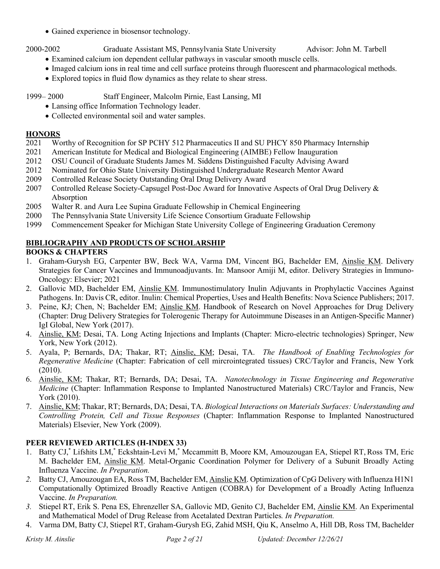• Gained experience in biosensor technology.

2000-2002 Graduate Assistant MS, Pennsylvania State University Advisor: John M. Tarbell

- Examined calcium ion dependent cellular pathways in vascular smooth muscle cells.
- Imaged calcium ions in real time and cell surface proteins through fluorescent and pharmacological methods.
- Explored topics in fluid flow dynamics as they relate to shear stress.

# 1999– 2000 Staff Engineer, Malcolm Pirnie, East Lansing, MI

- Lansing office Information Technology leader.
- Collected environmental soil and water samples.

# **HONORS**

- 2021 Worthy of Recognition for SP PCHY 512 Pharmaceutics II and SU PHCY 850 Pharmacy Internship
- 2021 American Institute for Medical and Biological Engineering (AIMBE) Fellow Inauguration
- 2012 OSU Council of Graduate Students James M. Siddens Distinguished Faculty Advising Award
- 2012 Nominated for Ohio State University Distinguished Undergraduate Research Mentor Award
- 2009 Controlled Release Society Outstanding Oral Drug Delivery Award
- 2007 Controlled Release Society-Capsugel Post-Doc Award for Innovative Aspects of Oral Drug Delivery & Absorption
- 2005 Walter R. and Aura Lee Supina Graduate Fellowship in Chemical Engineering
- 2000 The Pennsylvania State University Life Science Consortium Graduate Fellowship
- 1999 Commencement Speaker for Michigan State University College of Engineering Graduation Ceremony

# **BIBLIOGRAPHY AND PRODUCTS OF SCHOLARSHIP**

# **BOOKS & CHAPTERS**

- 1. Graham-Gurysh EG, Carpenter BW, Beck WA, Varma DM, Vincent BG, Bachelder EM, Ainslie KM. Delivery Strategies for Cancer Vaccines and Immunoadjuvants. In: Mansoor Amiji M, editor. Delivery Strategies in Immuno-Oncology: Elsevier; 2021
- 2. Gallovic MD, Bachelder EM, Ainslie KM. Immunostimulatory Inulin Adjuvants in Prophylactic Vaccines Against Pathogens. In: Davis CR, editor. Inulin: Chemical Properties, Uses and Health Benefits: Nova Science Publishers; 2017.
- 3. Peine, KJ; Chen, N; Bachelder EM; Ainslie KM. Handbook of Research on Novel Approaches for Drug Delivery (Chapter: Drug Delivery Strategies for Tolerogenic Therapy for Autoimmune Diseases in an Antigen-Specific Manner) IgI Global, New York (2017).
- 4. Ainslie, KM; Desai, TA. Long Acting Injections and Implants (Chapter: Micro-electric technologies) Springer, New York, New York (2012).
- 5. Ayala, P; Bernards, DA; Thakar, RT; Ainslie, KM; Desai, TA. *The Handbook of Enabling Technologies for Regenerative Medicine* (Chapter: Fabrication of cell mircrointegrated tissues) CRC/Taylor and Francis, New York (2010).
- 6. Ainslie, KM; Thakar, RT; Bernards, DA; Desai, TA. *Nanotechnology in Tissue Engineering and Regenerative Medicine* (Chapter: Inflammation Response to Implanted Nanostructured Materials) CRC/Taylor and Francis, New York (2010).
- 7. Ainslie, KM; Thakar, RT; Bernards, DA; Desai, TA. *Biological Interactions on Materials Surfaces: Understanding and Controlling Protein, Cell and Tissue Responses* (Chapter: Inflammation Response to Implanted Nanostructured Materials) Elsevier, New York (2009).

# **PEER REVIEWED ARTICLES (H-INDEX 33)**

- 1. Batty CJ,\* Lifshits LM,\* Eckshtain-Levi M,\* Mccammitt B, Moore KM, Amouzougan EA, Stiepel RT, Ross TM, Eric M. Bachelder EM, Ainslie KM. Metal-Organic Coordination Polymer for Delivery of a Subunit Broadly Acting Influenza Vaccine. *In Preparation.*
- *2.* Batty CJ, Amouzougan EA, Ross TM, Bachelder EM, Ainslie KM. Optimization of CpG Delivery with Influenza H1N1 Computationally Optimized Broadly Reactive Antigen (COBRA) for Development of a Broadly Acting Influenza Vaccine. *In Preparation.*
- *3.* Stiepel RT, Erik S. Pena ES, Ehrenzeller SA, Gallovic MD, Genito CJ, Bachelder EM, Ainslie KM. An Experimental and Mathematical Model of Drug Release from Acetalated Dextran Particles*. In Preparation.*
- 4. Varma DM, Batty CJ, Stiepel RT, Graham-Gurysh EG, Zahid MSH, Qiu K, Anselmo A, Hill DB, Ross TM, Bachelder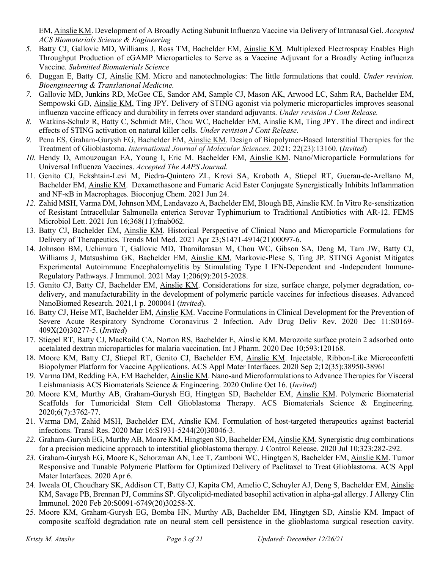EM, Ainslie KM. Development of A Broadly Acting Subunit Influenza Vaccine via Delivery of Intranasal Gel. *Accepted ACS Biomaterials Science & Engineering*

- *5.* Batty CJ, Gallovic MD, Williams J, Ross TM, Bachelder EM, Ainslie KM. Multiplexed Electrospray Enables High Throughput Production of cGAMP Microparticles to Serve as a Vaccine Adjuvant for a Broadly Acting influenza Vaccine. *Submitted Biomaterials Science*
- 6. Duggan E, Batty CJ, Ainslie KM. Micro and nanotechnologies: The little formulations that could. *Under revision. Bioengineering & Translational Medicine.*
- *7.* Gallovic MD, Junkins RD, McGee CE, Sandor AM, Sample CJ, Mason AK, Arwood LC, Sahm RA, Bachelder EM, Sempowski GD, Ainslie KM, Ting JPY. Delivery of STING agonist via polymeric microparticles improves seasonal influenza vaccine efficacy and durability in ferrets over standard adjuvants. *Under revision J Cont Release.*
- *8.* Watkins-Schulz R, Batty C, Schmidt ME, Chou WC, Bachelder EM, Ainslie KM, Ting JPY. The direct and indirect effects of STING activation on natural killer cells. *Under revision J Cont Release.*
- *9.* Pena ES, Graham-Gurysh EG, Bachelder EM, Ainslie KM. Design of Biopolymer-Based Interstitial Therapies for the Treatment of Glioblastoma. *International Journal of Molecular Sciences*. 2021; 22(23):13160. (*Invited*)
- *10.* Hendy D, Amouzougan EA, Young I, Eric M. Bachelder EM, Ainslie KM. Nano/Microparticle Formulations for Universal Influenza Vaccines. *Accepted The AAPS Journal.*
- 11. Genito CJ, Eckshtain-Levi M, Piedra-Quintero ZL, Krovi SA, Kroboth A, Stiepel RT, Guerau-de-Arellano M, Bachelder EM, Ainslie KM. Dexamethasone and Fumaric Acid Ester Conjugate Synergistically Inhibits Inflammation and NF-κB in Macrophages. Bioconjug Chem. 2021 Jun 24.
- *12.* Zahid MSH, Varma DM, Johnson MM, Landavazo A, Bachelder EM, Blough BE, Ainslie KM. In Vitro Re-sensitization of Resistant Intracellular Salmonella enterica Serovar Typhimurium to Traditional Antibiotics with AR-12. FEMS Microbiol Lett. 2021 Jun 16;368(11):fnab062.
- 13. Batty CJ, Bachelder EM, Ainslie KM. Historical Perspective of Clinical Nano and Microparticle Formulations for Delivery of Therapeutics. Trends Mol Med. 2021 Apr 23;S1471-4914(21)00097-6.
- 14. Johnson BM, Uchimura T, Gallovic MD, Thamilarasan M, Chou WC, Gibson SA, Deng M, Tam JW, Batty CJ, Williams J, Matsushima GK, Bachelder EM, Ainslie KM, Markovic-Plese S, Ting JP. STING Agonist Mitigates Experimental Autoimmune Encephalomyelitis by Stimulating Type I IFN-Dependent and -Independent Immune-Regulatory Pathways. J Immunol. 2021 May 1;206(9):2015-2028.
- 15. Genito CJ, Batty CJ, Bachelder EM, Ainslie KM. Considerations for size, surface charge, polymer degradation, codelivery, and manufacturability in the development of polymeric particle vaccines for infectious diseases. Advanced NanoBiomed Research. 2021,1 p. 2000041 (*invited*).
- 16. Batty CJ, Heise MT, Bachelder EM, Ainslie KM. Vaccine Formulations in Clinical Development for the Prevention of Severe Acute Respiratory Syndrome Coronavirus 2 Infection. Adv Drug Deliv Rev. 2020 Dec 11:S0169- 409X(20)30277-5. (*Invited*)
- 17. Stiepel RT, Batty CJ, MacRaild CA, Norton RS, Bachelder E, Ainslie KM. Merozoite surface protein 2 adsorbed onto acetalated dextran microparticles for malaria vaccination. Int J Pharm. 2020 Dec 10;593:120168.
- 18. Moore KM, Batty CJ, Stiepel RT, Genito CJ, Bachelder EM, Ainslie KM. Injectable, Ribbon-Like Microconfetti Biopolymer Platform for Vaccine Applications. ACS Appl Mater Interfaces. 2020 Sep 2;12(35):38950-38961
- 19. Varma DM, Redding EA, EM Bachelder, Ainslie KM. Nano-and Microformulations to Advance Therapies for Visceral Leishmaniasis ACS Biomaterials Science & Engineering. 2020 Online Oct 16. (*Invited*)
- 20. Moore KM, Murthy AB, Graham-Gurysh EG, Hingtgen SD, Bachelder EM, Ainslie KM. Polymeric Biomaterial Scaffolds for Tumoricidal Stem Cell Glioblastoma Therapy. ACS Biomaterials Science & Engineering. 2020;6(7):3762-77.
- 21. Varma DM, Zahid MSH, Bachelder EM, Ainslie KM. Formulation of host-targeted therapeutics against bacterial infections. Transl Res. 2020 Mar 16:S1931-5244(20)30046-3.
- *22.* Graham-Gurysh EG, Murthy AB, Moore KM, Hingtgen SD, Bachelder EM, Ainslie KM. Synergistic drug combinations for a precision medicine approach to interstitial glioblastoma therapy. J Control Release. 2020 Jul 10;323:282-292.
- *23.* Graham-Gurysh EG, Moore K, Schorzman AN, Lee T, Zamboni WC, Hingtgen S, Bachelder EM, Ainslie KM. Tumor Responsive and Tunable Polymeric Platform for Optimized Delivery of Paclitaxel to Treat Glioblastoma. ACS Appl Mater Interfaces. 2020 Apr 6.
- 24. Iweala OI, Choudhary SK, Addison CT, Batty CJ, Kapita CM, Amelio C, Schuyler AJ, Deng S, Bachelder EM, Ainslie KM, Savage PB, Brennan PJ, Commins SP. Glycolipid-mediated basophil activation in alpha-gal allergy. J Allergy Clin Immunol. 2020 Feb 20:S0091-6749(20)30258-X.
- 25. Moore KM, Graham-Gurysh EG, Bomba HN, Murthy AB, Bachelder EM, Hingtgen SD, Ainslie KM. Impact of composite scaffold degradation rate on neural stem cell persistence in the glioblastoma surgical resection cavity.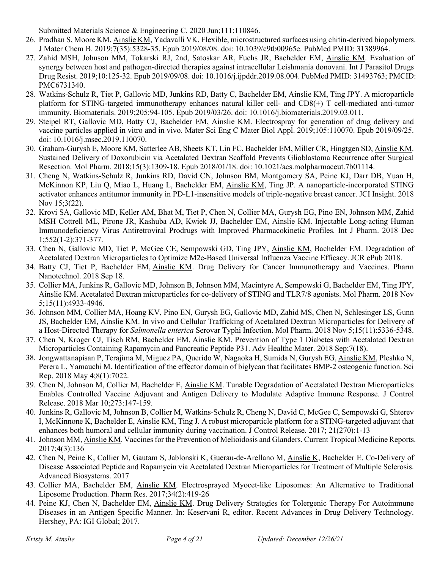Submitted Materials Science & Engineering C. 2020 Jun;111:110846.

- 26. Pradhan S, Moore KM, Ainslie KM, Yadavalli VK. Flexible, microstructured surfaces using chitin-derived biopolymers. J Mater Chem B. 2019;7(35):5328-35. Epub 2019/08/08. doi: 10.1039/c9tb00965e. PubMed PMID: 31389964.
- 27. Zahid MSH, Johnson MM, Tokarski RJ, 2nd, Satoskar AR, Fuchs JR, Bachelder EM, Ainslie KM. Evaluation of synergy between host and pathogen-directed therapies against intracellular Leishmania donovani. Int J Parasitol Drugs Drug Resist. 2019;10:125-32. Epub 2019/09/08. doi: 10.1016/j.ijpddr.2019.08.004. PubMed PMID: 31493763; PMCID: PMC6731340.
- 28. Watkins-Schulz R, Tiet P, Gallovic MD, Junkins RD, Batty C, Bachelder EM, Ainslie KM, Ting JPY. A microparticle platform for STING-targeted immunotherapy enhances natural killer cell- and CD8(+) T cell-mediated anti-tumor immunity. Biomaterials. 2019;205:94-105. Epub 2019/03/26. doi: 10.1016/j.biomaterials.2019.03.011.
- 29. Steipel RT, Gallovic MD, Batty CJ, Bachelder EM, Ainslie KM. Electrospray for generation of drug delivery and vaccine particles applied in vitro and in vivo. Mater Sci Eng C Mater Biol Appl. 2019;105:110070. Epub 2019/09/25. doi: 10.1016/j.msec.2019.110070.
- 30. Graham-Gurysh E, Moore KM, Satterlee AB, Sheets KT, Lin FC, Bachelder EM, Miller CR, Hingtgen SD, Ainslie KM. Sustained Delivery of Doxorubicin via Acetalated Dextran Scaffold Prevents Glioblastoma Recurrence after Surgical Resection. Mol Pharm. 2018;15(3):1309-18. Epub 2018/01/18. doi: 10.1021/acs.molpharmaceut.7b01114.
- 31. Cheng N, Watkins-Schulz R, Junkins RD, David CN, Johnson BM, Montgomery SA, Peine KJ, Darr DB, Yuan H, McKinnon KP, Liu Q, Miao L, Huang L, Bachelder EM, Ainslie KM, Ting JP. A nanoparticle-incorporated STING activator enhances antitumor immunity in PD-L1-insensitive models of triple-negative breast cancer. JCI Insight. 2018 Nov 15;3(22).
- 32. Krovi SA, Gallovic MD, Keller AM, Bhat M, Tiet P, Chen N, Collier MA, Gurysh EG, Pino EN, Johnson MM, Zahid MSH Cottrell ML, Pirone JR, Kashuba AD, Kwiek JJ, Bachelder EM, Ainslie KM. Injectable Long-acting Human Immunodeficiency Virus Antiretroviral Prodrugs with Improved Pharmacokinetic Profiles. Int J Pharm. 2018 Dec 1;552(1-2):371-377.
- 33. Chen N, Gallovic MD, Tiet P, McGee CE, Sempowski GD, Ting JPY, Ainslie KM, Bachelder EM. Degradation of Acetalated Dextran Microparticles to Optimize M2e-Based Universal Influenza Vaccine Efficacy. JCR ePub 2018.
- 34. Batty CJ, Tiet P, Bachelder EM, Ainslie KM. Drug Delivery for Cancer Immunotherapy and Vaccines. Pharm Nanotechnol. 2018 Sep 18.
- 35. Collier MA, Junkins R, Gallovic MD, Johnson B, Johnson MM, Macintyre A, Sempowski G, Bachelder EM, Ting JPY, Ainslie KM. Acetalated Dextran microparticles for co-delivery of STING and TLR7/8 agonists. Mol Pharm. 2018 Nov 5;15(11):4933-4946.
- 36. Johnson MM, Collier MA, Hoang KV, Pino EN, Gurysh EG, Gallovic MD, Zahid MS, Chen N, Schlesinger LS, Gunn JS, Bachelder EM, Ainslie KM. In vivo and Cellular Trafficking of Acetalated Dextran Microparticles for Delivery of a Host-Directed Therapy for *Salmonella enterica* Serovar Typhi Infection. Mol Pharm. 2018 Nov 5;15(11):5336-5348.
- 37. Chen N, Kroger CJ, Tisch RM, Bachelder EM, Ainslie KM. Prevention of Type 1 Diabetes with Acetalated Dextran Microparticles Containing Rapamycin and Pancreatic Peptide P31. Adv Healthc Mater. 2018 Sep;7(18).
- 38. Jongwattanapisan P, Terajima M, Miguez PA, Querido W, Nagaoka H, Sumida N, Gurysh EG, Ainslie KM, Pleshko N, Perera L, Yamauchi M. Identification of the effector domain of biglycan that facilitates BMP-2 osteogenic function. Sci Rep. 2018 May 4;8(1):7022.
- 39. Chen N, Johnson M, Collier M, Bachelder E, Ainslie KM. Tunable Degradation of Acetalated Dextran Microparticles Enables Controlled Vaccine Adjuvant and Antigen Delivery to Modulate Adaptive Immune Response. J Control Release. 2018 Mar 10;273:147-159.
- 40. Junkins R, Gallovic M, Johnson B, Collier M, Watkins-Schulz R, Cheng N, David C, McGee C, Sempowski G, Shterev I, McKinnone K, Bachelder E, Ainslie KM, Ting J. A robust microparticle platform for a STING-targeted adjuvant that enhances both humoral and cellular immunity during vaccination. J Control Release. 2017; 21(270):1-13
- 41. Johnson MM, Ainslie KM. Vaccines for the Prevention of Melioidosis and Glanders. Current Tropical Medicine Reports. 2017;4(3):136
- 42. Chen N, Peine K, Collier M, Gautam S, Jablonski K, Guerau-de-Arellano M, Ainslie K, Bachelder E. Co-Delivery of Disease Associated Peptide and Rapamycin via Acetalated Dextran Microparticles for Treatment of Multiple Sclerosis. Advanced Biosystems. 2017
- 43. Collier MA, Bachelder EM, Ainslie KM. Electrosprayed Myocet-like Liposomes: An Alternative to Traditional Liposome Production. Pharm Res. 2017;34(2):419-26
- 44. Peine KJ, Chen N, Bachelder EM, Ainslie KM. Drug Delivery Strategies for Tolergenic Therapy For Autoimmune Diseases in an Antigen Specific Manner. In: Keservani R, editor. Recent Advances in Drug Delivery Technology. Hershey, PA: IGI Global; 2017.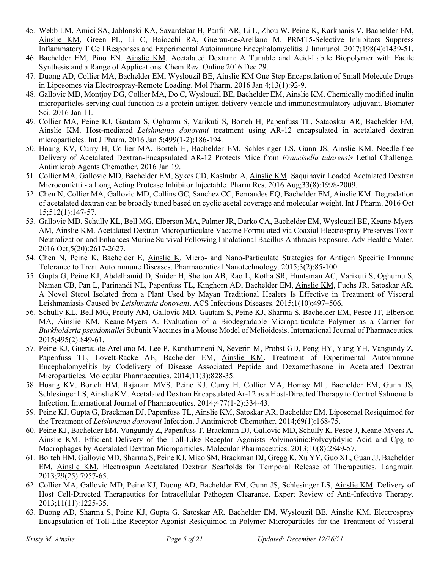- 45. Webb LM, Amici SA, Jablonski KA, Savardekar H, Panfil AR, Li L, Zhou W, Peine K, Karkhanis V, Bachelder EM, Ainslie KM, Green PL, Li C, Baiocchi RA, Guerau-de-Arellano M. PRMT5-Selective Inhibitors Suppress Inflammatory T Cell Responses and Experimental Autoimmune Encephalomyelitis. J Immunol. 2017;198(4):1439-51.
- 46. Bachelder EM, Pino EN, Ainslie KM. Acetalated Dextran: A Tunable and Acid-Labile Biopolymer with Facile Synthesis and a Range of Applications. Chem Rev. Online 2016 Dec 29.
- 47. Duong AD, Collier MA, Bachelder EM, Wyslouzil BE, Ainslie KM One Step Encapsulation of Small Molecule Drugs in Liposomes via Electrospray-Remote Loading. Mol Pharm. 2016 Jan 4;13(1):92-9.
- 48. Gallovic MD, Montjoy DG, Collier MA, Do C, Wyslouzil BE, Bachelder EM, Ainslie KM. Chemically modified inulin microparticles serving dual function as a protein antigen delivery vehicle and immunostimulatory adjuvant. Biomater Sci. 2016 Jan 11.
- 49. Collier MA, Peine KJ, Gautam S, Oghumu S, Varikuti S, Borteh H, Papenfuss TL, Sataoskar AR, Bachelder EM, Ainslie KM. Host-mediated *Leishmania donovani* treatment using AR-12 encapsulated in acetalated dextran microparticles. Int J Pharm. 2016 Jan 5;499(1-2):186-194.
- 50. Hoang KV, Curry H, Collier MA, Borteh H, Bachelder EM, Schlesinger LS, Gunn JS, Ainslie KM. Needle-free Delivery of Acetalated Dextran-Encapsulated AR-12 Protects Mice from *Francisella tularensis* Lethal Challenge. Antimicrob Agents Chemother. 2016 Jan 19.
- 51. Collier MA, Gallovic MD, Bachelder EM, Sykes CD, Kashuba A, Ainslie KM. Saquinavir Loaded Acetalated Dextran Microconfetti - a Long Acting Protease Inhibitor Injectable. Pharm Res. 2016 Aug;33(8):1998-2009.
- 52. Chen N, Collier MA, Gallovic MD, Collins GC, Sanchez CC, Fernandes EQ, Bachelder EM, Ainslie KM. Degradation of acetalated dextran can be broadly tuned based on cyclic acetal coverage and molecular weight. Int J Pharm. 2016 Oct 15;512(1):147-57.
- 53. Gallovic MD, Schully KL, Bell MG, Elberson MA, Palmer JR, Darko CA, Bachelder EM, Wyslouzil BE, Keane-Myers AM, Ainslie KM. Acetalated Dextran Microparticulate Vaccine Formulated via Coaxial Electrospray Preserves Toxin Neutralization and Enhances Murine Survival Following Inhalational Bacillus Anthracis Exposure. Adv Healthc Mater. 2016 Oct;5(20):2617-2627.
- 54. Chen N, Peine K, Bachelder E, Ainslie K. Micro- and Nano-Particulate Strategies for Antigen Specific Immune Tolerance to Treat Autoimmune Diseases. Pharmaceutical Nanotechnology. 2015;3(2):85-100.
- 55. Gupta G, Peine KJ, Abdelhamid D, Snider H, Shelton AB, Rao L, Kotha SR, Huntsman AC, Varikuti S, Oghumu S, Naman CB, Pan L, Parinandi NL, Papenfuss TL, Kinghorn AD, Bachelder EM, Ainslie KM, Fuchs JR, Satoskar AR. A Novel Sterol Isolated from a Plant Used by Mayan Traditional Healers Is Effective in Treatment of Visceral Leishmaniasis Caused by *Leishmania donovani*. ACS Infectious Diseases. 2015;1(10):497–506.
- 56. Schully KL, Bell MG, Prouty AM, Gallovic MD, Gautam S, Peine KJ, Sharma S, Bachelder EM, Pesce JT, Elberson MA, Ainslie KM, Keane-Myers A. Evaluation of a Biodegradable Microparticulate Polymer as a Carrier for *Burkholderia pseudomallei* Subunit Vaccines in a Mouse Model of Melioidosis. International Journal of Pharmaceutics. 2015;495(2):849-61.
- 57. Peine KJ, Guerau-de-Arellano M, Lee P, Kanthamneni N, Severin M, Probst GD, Peng HY, Yang YH, Vangundy Z, Papenfuss TL, Lovett-Racke AE, Bachelder EM, Ainslie KM. Treatment of Experimental Autoimmune Encephalomyelitis by Codelivery of Disease Associated Peptide and Dexamethasone in Acetalated Dextran Microparticles. Molecular Pharmaceutics. 2014;11(3):828-35.
- 58. Hoang KV, Borteh HM, Rajaram MVS, Peine KJ, Curry H, Collier MA, Homsy ML, Bachelder EM, Gunn JS, Schlesinger LS, Ainslie KM. Acetalated Dextran Encapsulated Ar-12 as a Host-Directed Therapy to Control Salmonella Infection. International Journal of Pharmaceutics. 2014;477(1-2):334-43.
- 59. Peine KJ, Gupta G, Brackman DJ, Papenfuss TL, Ainslie KM, Satoskar AR, Bachelder EM. Liposomal Resiquimod for the Treatment of *Leishmania donovani* Infection. J Antimicrob Chemother. 2014;69(1):168-75.
- 60. Peine KJ, Bachelder EM, Vangundy Z, Papenfuss T, Brackman DJ, Gallovic MD, Schully K, Pesce J, Keane-Myers A, Ainslie KM. Efficient Delivery of the Toll-Like Receptor Agonists Polyinosinic:Polycytidylic Acid and Cpg to Macrophages by Acetalated Dextran Microparticles. Molecular Pharmaceutics. 2013;10(8):2849-57.
- 61. Borteh HM, Gallovic MD, Sharma S, Peine KJ, Miao SM, Brackman DJ, Gregg K, Xu YY, Guo XL, Guan JJ, Bachelder EM, Ainslie KM. Electrospun Acetalated Dextran Scaffolds for Temporal Release of Therapeutics. Langmuir. 2013;29(25):7957-65.
- 62. Collier MA, Gallovic MD, Peine KJ, Duong AD, Bachelder EM, Gunn JS, Schlesinger LS, Ainslie KM. Delivery of Host Cell-Directed Therapeutics for Intracellular Pathogen Clearance. Expert Review of Anti-Infective Therapy. 2013;11(11):1225-35.
- 63. Duong AD, Sharma S, Peine KJ, Gupta G, Satoskar AR, Bachelder EM, Wyslouzil BE, Ainslie KM. Electrospray Encapsulation of Toll-Like Receptor Agonist Resiquimod in Polymer Microparticles for the Treatment of Visceral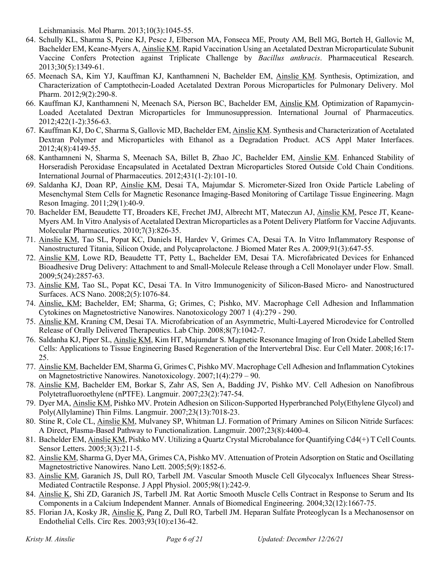Leishmaniasis. Mol Pharm. 2013;10(3):1045-55.

- 64. Schully KL, Sharma S, Peine KJ, Pesce J, Elberson MA, Fonseca ME, Prouty AM, Bell MG, Borteh H, Gallovic M, Bachelder EM, Keane-Myers A, Ainslie KM. Rapid Vaccination Using an Acetalated Dextran Microparticulate Subunit Vaccine Confers Protection against Triplicate Challenge by *Bacillus anthracis*. Pharmaceutical Research. 2013;30(5):1349-61.
- 65. Meenach SA, Kim YJ, Kauffman KJ, Kanthamneni N, Bachelder EM, Ainslie KM. Synthesis, Optimization, and Characterization of Camptothecin-Loaded Acetalated Dextran Porous Microparticles for Pulmonary Delivery. Mol Pharm. 2012;9(2):290-8.
- 66. Kauffman KJ, Kanthamneni N, Meenach SA, Pierson BC, Bachelder EM, Ainslie KM. Optimization of Rapamycin-Loaded Acetalated Dextran Microparticles for Immunosuppression. International Journal of Pharmaceutics. 2012;422(1-2):356-63.
- 67. Kauffman KJ, Do C, Sharma S, Gallovic MD, Bachelder EM, Ainslie KM. Synthesis and Characterization of Acetalated Dextran Polymer and Microparticles with Ethanol as a Degradation Product. ACS Appl Mater Interfaces. 2012;4(8):4149-55.
- 68. Kanthamneni N, Sharma S, Meenach SA, Billet B, Zhao JC, Bachelder EM, Ainslie KM. Enhanced Stability of Horseradish Peroxidase Encapsulated in Acetalated Dextran Microparticles Stored Outside Cold Chain Conditions. International Journal of Pharmaceutics. 2012;431(1-2):101-10.
- 69. Saldanha KJ, Doan RP, Ainslie KM, Desai TA, Majumdar S. Micrometer-Sized Iron Oxide Particle Labeling of Mesenchymal Stem Cells for Magnetic Resonance Imaging-Based Monitoring of Cartilage Tissue Engineering. Magn Reson Imaging. 2011;29(1):40-9.
- 70. Bachelder EM, Beaudette TT, Broaders KE, Frechet JMJ, Albrecht MT, Mateczun AJ, Ainslie KM, Pesce JT, Keane-Myers AM. In Vitro Analysis of Acetalated Dextran Microparticles as a Potent Delivery Platform for Vaccine Adjuvants. Molecular Pharmaceutics. 2010;7(3):826-35.
- 71. Ainslie KM, Tao SL, Popat KC, Daniels H, Hardev V, Grimes CA, Desai TA. In Vitro Inflammatory Response of Nanostructured Titania, Silicon Oxide, and Polycaprolactone. J Biomed Mater Res A. 2009;91(3):647-55.
- 72. Ainslie KM, Lowe RD, Beaudette TT, Petty L, Bachelder EM, Desai TA. Microfabricated Devices for Enhanced Bioadhesive Drug Delivery: Attachment to and Small-Molecule Release through a Cell Monolayer under Flow. Small. 2009;5(24):2857-63.
- 73. Ainslie KM, Tao SL, Popat KC, Desai TA. In Vitro Immunogenicity of Silicon-Based Micro- and Nanostructured Surfaces. ACS Nano. 2008;2(5):1076-84.
- 74. Ainslie, KM; Bachelder, EM; Sharma, G; Grimes, C; Pishko, MV. Macrophage Cell Adhesion and Inflammation Cytokines on Magnetostrictive Nanowires. Nanotoxicology 2007 1 (4):279 - 290.
- 75. Ainslie KM, Kraning CM, Desai TA. Microfabrication of an Asymmetric, Multi-Layered Microdevice for Controlled Release of Orally Delivered Therapeutics. Lab Chip. 2008;8(7):1042-7.
- 76. Saldanha KJ, Piper SL, Ainslie KM, Kim HT, Majumdar S. Magnetic Resonance Imaging of Iron Oxide Labelled Stem Cells: Applications to Tissue Engineering Based Regeneration of the Intervertebral Disc. Eur Cell Mater. 2008;16:17- 25.
- 77. Ainslie KM, Bachelder EM, Sharma G, Grimes C, Pishko MV. Macrophage Cell Adhesion and Inflammation Cytokines on Magnetostrictive Nanowires. Nanotoxicology. 2007;1(4):279 – 90.
- 78. Ainslie KM, Bachelder EM, Borkar S, Zahr AS, Sen A, Badding JV, Pishko MV. Cell Adhesion on Nanofibrous Polytetrafluoroethylene (nPTFE). Langmuir. 2007;23(2):747-54.
- 79. Dyer MA, Ainslie KM, Pishko MV. Protein Adhesion on Silicon-Supported Hyperbranched Poly(Ethylene Glycol) and Poly(Allylamine) Thin Films. Langmuir. 2007;23(13):7018-23.
- 80. Stine R, Cole CL, Ainslie KM, Mulvaney SP, Whitman LJ. Formation of Primary Amines on Silicon Nitride Surfaces: A Direct, Plasma-Based Pathway to Functionalization. Langmuir. 2007;23(8):4400-4.
- 81. Bachelder EM, Ainslie KM, Pishko MV. Utilizing a Quartz Crystal Microbalance for Quantifying Cd4(+) T Cell Counts. Sensor Letters. 2005;3(3):211-5.
- 82. Ainslie KM, Sharma G, Dyer MA, Grimes CA, Pishko MV. Attenuation of Protein Adsorption on Static and Oscillating Magnetostrictive Nanowires. Nano Lett. 2005;5(9):1852-6.
- 83. Ainslie KM, Garanich JS, Dull RO, Tarbell JM. Vascular Smooth Muscle Cell Glycocalyx Influences Shear Stress-Mediated Contractile Response. J Appl Physiol. 2005;98(1):242-9.
- 84. Ainslie K, Shi ZD, Garanich JS, Tarbell JM. Rat Aortic Smooth Muscle Cells Contract in Response to Serum and Its Components in a Calcium Independent Manner. Annals of Biomedical Engineering. 2004;32(12):1667-75.
- 85. Florian JA, Kosky JR, *Ainslie K*, Pang Z, Dull RO, Tarbell JM. Heparan Sulfate Proteoglycan Is a Mechanosensor on Endothelial Cells. Circ Res. 2003;93(10):e136-42.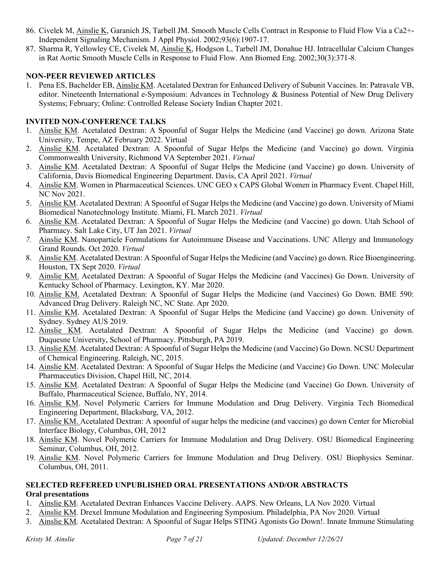- 86. Civelek M, Ainslie K, Garanich JS, Tarbell JM. Smooth Muscle Cells Contract in Response to Fluid Flow Via a Ca2+- Independent Signaling Mechanism. J Appl Physiol. 2002;93(6):1907-17.
- 87. Sharma R, Yellowley CE, Civelek M, Ainslie K, Hodgson L, Tarbell JM, Donahue HJ. Intracellular Calcium Changes in Rat Aortic Smooth Muscle Cells in Response to Fluid Flow. Ann Biomed Eng. 2002;30(3):371-8.

## **NON-PEER REVIEWED ARTICLES**

1. Pena ES, Bachelder EB, Ainslie KM. Acetalated Dextran for Enhanced Delivery of Subunit Vaccines. In: Patravale VB, editor. Nineteenth International e-Symposium: Advances in Technology & Business Potential of New Drug Delivery Systems; February; Online: Controlled Release Society Indian Chapter 2021.

#### **INVITED NON-CONFERENCE TALKS**

- 1. Ainslie KM. Acetalated Dextran: A Spoonful of Sugar Helps the Medicine (and Vaccine) go down. Arizona State University, Tempe, AZ February 2022. Virtual
- 2. Ainslie KM. Acetalated Dextran: A Spoonful of Sugar Helps the Medicine (and Vaccine) go down. Virginia Commonwealth University, Richmond VA September 2021. *Virtual*
- 3. Ainslie KM. Acetalated Dextran: A Spoonful of Sugar Helps the Medicine (and Vaccine) go down. University of California, Davis Biomedical Engineering Department. Davis, CA April 2021. *Virtual*
- 4. Ainslie KM. Women in Pharmaceutical Sciences. UNC GEO x CAPS Global Women in Pharmacy Event. Chapel Hill, NC Nov 2021.
- 5. Ainslie KM. Acetalated Dextran: A Spoonful of Sugar Helps the Medicine (and Vaccine) go down. University of Miami Biomedical Nanotechnology Institute. Miami, FL March 2021. *Virtual*
- 6. Ainslie KM. Acetalated Dextran: A Spoonful of Sugar Helps the Medicine (and Vaccine) go down. Utah School of Pharmacy. Salt Lake City, UT Jan 2021. *Virtual*
- *7.* Ainslie KM. Nanoparticle Formulations for Autoimmune Disease and Vaccinations. UNC Allergy and Immunology Grand Rounds. Oct 2020. *Virtual*
- 8. Ainslie KM. Acetalated Dextran: A Spoonful of Sugar Helps the Medicine (and Vaccine) go down. Rice Bioengineering. Houston, TX Sept 2020. *Virtual*
- 9. Ainslie KM. Acetalated Dextran: A Spoonful of Sugar Helps the Medicine (and Vaccines) Go Down. University of Kentucky School of Pharmacy. Lexington, KY. Mar 2020.
- 10. Ainslie KM. Acetalated Dextran: A Spoonful of Sugar Helps the Medicine (and Vaccines) Go Down. BME 590: Advanced Drug Delivery. Raleigh NC, NC State. Apr 2020.
- 11. Ainslie KM. Acetalated Dextran: A Spoonful of Sugar Helps the Medicine (and Vaccine) go down. University of Sydney. Sydney AUS 2019.
- 12. Ainslie KM. Acetalated Dextran: A Spoonful of Sugar Helps the Medicine (and Vaccine) go down. Duquesne University, School of Pharmacy. Pittsburgh, PA 2019.
- 13. Ainslie KM. Acetalated Dextran: A Spoonful of Sugar Helps the Medicine (and Vaccine) Go Down. NCSU Department of Chemical Engineering. Raleigh, NC, 2015.
- 14. Ainslie KM. Acetalated Dextran: A Spoonful of Sugar Helps the Medicine (and Vaccine) Go Down. UNC Molecular Pharmaceutics Division, Chapel Hill, NC, 2014.
- 15. Ainslie KM. Acetalated Dextran: A Spoonful of Sugar Helps the Medicine (and Vaccine) Go Down. University of Buffalo, Pharmaceutical Science, Buffalo, NY, 2014.
- 16. Ainslie KM. Novel Polymeric Carriers for Immune Modulation and Drug Delivery. Virginia Tech Biomedical Engineering Department, Blacksburg, VA, 2012.
- 17. Ainslie KM. Acetalated Dextran: A spoonful of sugar helps the medicine (and vaccines) go down Center for Microbial Interface Biology, Columbus, OH, 2012
- 18. Ainslie KM. Novel Polymeric Carriers for Immune Modulation and Drug Delivery. OSU Biomedical Engineering Seminar, Columbus, OH, 2012.
- 19. Ainslie KM. Novel Polymeric Carriers for Immune Modulation and Drug Delivery. OSU Biophysics Seminar. Columbus, OH, 2011.

#### **SELECTED REFEREED UNPUBLISHED ORAL PRESENTATIONS AND/OR ABSTRACTS Oral presentations**

- 1. Ainslie KM. Acetalated Dextran Enhances Vaccine Delivery. AAPS. New Orleans, LA Nov 2020. Virtual
- 2. Ainslie KM. Drexel Immune Modulation and Engineering Symposium. Philadelphia, PA Nov 2020. Virtual
- 3. Ainslie KM. Acetalated Dextran: A Spoonful of Sugar Helps STING Agonists Go Down!. Innate Immune Stimulating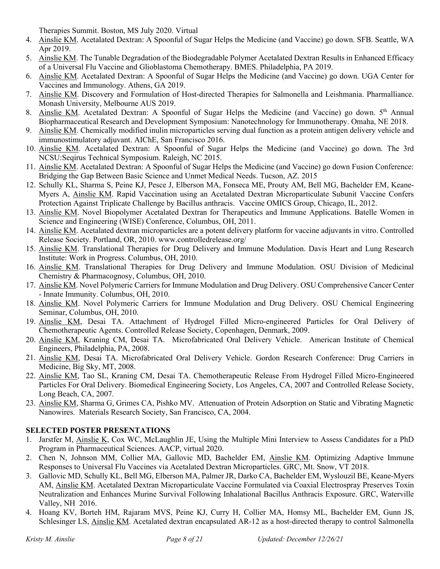Therapies Summit. Boston, MS July 2020. Virtual

- 4. Ainslie KM. Acetalated Dextran: A Spoonful of Sugar Helps the Medicine (and Vaccine) go down. SFB. Seattle, WA Apr 2019.
- 5. Ainslie KM. The Tunable Degradation of the Biodegradable Polymer Acetalated Dextran Results in Enhanced Efficacy of a Universal Flu Vaccine and Glioblastoma Chemotherapy. BMES. Philadelphia, PA 2019.
- 6. Ainslie KM. Acetalated Dextran: A Spoonful of Sugar Helps the Medicine (and Vaccine) go down. UGA Center for Vaccines and Immunology. Athens, GA 2019.
- 7. Ainslie KM. Discovery and Formulation of Host-directed Therapies for Salmonella and Leishmania. Pharmalliance. Monash University, Melbourne AUS 2019.
- 8. Ainslie KM. Acetalated Dextran: A Spoonful of Sugar Helps the Medicine (and Vaccine) go down. 5<sup>th</sup> Annual Biopharmaceutical Research and Development Symposium: Nanotechnology for Immunotherapy. Omaha, NE 2018.
- 9. Ainslie KM. Chemically modified inulin microparticles serving dual function as a protein antigen delivery vehicle and immunostimulatory adjuvant. AIChE, San Francisco 2016.
- 10. Ainslie KM. Acetalated Dextran: A Spoonful of Sugar Helps the Medicine (and Vaccine) go down. The 3rd NCSU:Seqirus Technical Symposium. Raleigh, NC 2015.
- 11. Ainslie KM. Acetalated Dextran: A Spoonful of Sugar Helps the Medicine (and Vaccine) go down Fusion Conference: Bridging the Gap Between Basic Science and Unmet Medical Needs. Tucson, AZ. 2015
- 12. Schully KL, Sharma S, Peine KJ, Pesce J, Elberson MA, Fonseca ME, Prouty AM, Bell MG, Bachelder EM, Keane-Myers A, Ainslie KM. Rapid Vaccination using an Acetalated Dextran Microparticulate Subunit Vaccine Confers Protection Against Triplicate Challenge by Bacillus anthracis. Vaccine OMICS Group, Chicago, IL, 2012.
- 13. Ainslie KM. Novel Biopolymer Acetalated Dextran for Therapeutics and Immune Applications. Batelle Women in Science and Engineering (WISE) Conference, Columbus, OH, 2011.
- 14. Ainslie KM. Acetalated dextran microparticles are a potent delivery platform for vaccine adjuvants in vitro. Controlled Release Society. Portland, OR, 2010. www.controlledrelease.org/
- 15. Ainslie KM. Translational Therapies for Drug Delivery and Immune Modulation. Davis Heart and Lung Research Institute: Work in Progress. Columbus, OH, 2010.
- 16. Ainslie KM. Translational Therapies for Drug Delivery and Immune Modulation. OSU Division of Medicinal Chemistry & Pharmacognosy, Columbus, OH, 2010.
- 17. Ainslie KM. Novel Polymeric Carriers for Immune Modulation and Drug Delivery. OSU Comprehensive Cancer Center - Innate Immunity. Columbus, OH, 2010.
- 18. Ainslie KM. Novel Polymeric Carriers for Immune Modulation and Drug Delivery. OSU Chemical Engineering Seminar, Columbus, OH, 2010.
- 19. Ainslie KM, Desai TA. Attachment of Hydrogel Filled Micro-engineered Particles for Oral Delivery of Chemotherapeutic Agents. Controlled Release Society, Copenhagen, Denmark, 2009.
- 20. Ainslie KM, Kraning CM, Desai TA. Microfabricated Oral Delivery Vehicle. American Institute of Chemical Engineers, Philadelphia, PA, 2008.
- 21. Ainslie KM, Desai TA. Microfabricated Oral Delivery Vehicle. Gordon Research Conference: Drug Carriers in Medicine, Big Sky, MT, 2008.
- 22. Ainslie KM, Tao SL, Kraning CM, Desai TA. Chemotherapeutic Release From Hydrogel Filled Micro-Engineered Particles For Oral Delivery. Biomedical Engineering Society, Los Angeles, CA, 2007 and Controlled Release Society, Long Beach, CA, 2007.
- 23. Ainslie KM, Sharma G, Grimes CA, Pishko MV. Attenuation of Protein Adsorption on Static and Vibrating Magnetic Nanowires. Materials Research Society, San Francisco, CA, 2004.

# **SELECTED POSTER PRESENTATIONS**

- 1. Jarstfer M, Ainslie K, Cox WC, McLaughlin JE, Using the Multiple Mini Interview to Assess Candidates for a PhD Program in Pharmaceutical Sciences. AACP, virtual 2020.
- 2. Chen N, Johnson MM, Collier MA, Gallovic MD, Bachelder EM, Ainslie KM. Optimizing Adaptive Immune Responses to Universal Flu Vaccines via Acetalated Dextran Microparticles. GRC, Mt. Snow, VT 2018.
- 3. Gallovic MD, Schully KL, Bell MG, Elberson MA, Palmer JR, Darko CA, Bachelder EM, Wyslouzil BE, Keane-Myers AM, Ainslie KM. Acetalated Dextran Microparticulate Vaccine Formulated via Coaxial Electrospray Preserves Toxin Neutralization and Enhances Murine Survival Following Inhalational Bacillus Anthracis Exposure. GRC, Waterville Valley, NH 2016.
- 4. Hoang KV, Borteh HM, Rajaram MVS, Peine KJ, Curry H, Collier MA, Homsy ML, Bachelder EM, Gunn JS, Schlesinger LS, Ainslie KM. Acetalated dextran encapsulated AR-12 as a host-directed therapy to control Salmonella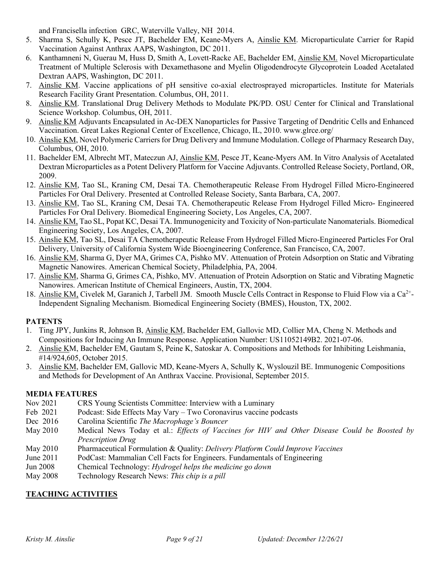and Francisella infection GRC, Waterville Valley, NH 2014.

- 5. Sharma S, Schully K, Pesce JT, Bachelder EM, Keane-Myers A, Ainslie KM. Microparticulate Carrier for Rapid Vaccination Against Anthrax AAPS, Washington, DC 2011.
- 6. Kanthamneni N, Guerau M, Huss D, Smith A, Lovett-Racke AE, Bachelder EM, Ainslie KM. Novel Microparticulate Treatment of Multiple Sclerosis with Dexamethasone and Myelin Oligodendrocyte Glycoprotein Loaded Acetalated Dextran AAPS, Washington, DC 2011.
- 7. Ainslie KM. Vaccine applications of pH sensitive co-axial electrosprayed microparticles. Institute for Materials Research Facility Grant Presentation. Columbus, OH, 2011.
- 8. Ainslie KM. Translational Drug Delivery Methods to Modulate PK/PD. OSU Center for Clinical and Translational Science Workshop. Columbus, OH, 2011.
- 9. Ainslie KM Adjuvants Encapsulated in Ac-DEX Nanoparticles for Passive Targeting of Dendritic Cells and Enhanced Vaccination. Great Lakes Regional Center of Excellence, Chicago, IL, 2010. www.glrce.org/
- 10. Ainslie KM, Novel Polymeric Carriers for Drug Delivery and Immune Modulation. College of Pharmacy Research Day, Columbus, OH, 2010.
- 11. Bachelder EM, Albrecht MT, Mateczun AJ, Ainslie KM, Pesce JT, Keane-Myers AM. In Vitro Analysis of Acetalated [Dextran Microparticles as a Potent Delivery Platform for Vaccine Adjuvants.](http://www.ncbi.nlm.nih.gov/pubmed/20230025) Controlled Release Society, Portland, OR, 2009.
- 12. Ainslie KM, Tao SL, Kraning CM, Desai TA. Chemotherapeutic Release From Hydrogel Filled Micro-Engineered Particles For Oral Delivery. Presented at Controlled Release Society, Santa Barbara, CA, 2007.
- 13. Ainslie KM, Tao SL, Kraning CM, Desai TA. Chemotherapeutic Release From Hydrogel Filled Micro- Engineered Particles For Oral Delivery. Biomedical Engineering Society, Los Angeles, CA, 2007.
- 14. Ainslie KM, Tao SL, Popat KC, Desai TA. Immunogenicity and Toxicity of Non-particulate Nanomaterials. Biomedical Engineering Society, Los Angeles, CA, 2007.
- 15. Ainslie KM, Tao SL, Desai TA Chemotherapeutic Release From Hydrogel Filled Micro-Engineered Particles For Oral Delivery, University of California System Wide Bioengineering Conference, San Francisco, CA, 2007.
- 16. Ainslie KM, Sharma G, Dyer MA, Grimes CA, Pishko MV. Attenuation of Protein Adsorption on Static and Vibrating Magnetic Nanowires. American Chemical Society, Philadelphia, PA, 2004.
- 17. Ainslie KM, Sharma G, Grimes CA, Pishko, MV. Attenuation of Protein Adsorption on Static and Vibrating Magnetic Nanowires. American Institute of Chemical Engineers, Austin, TX, 2004.
- 18. Ainslie KM, Civelek M, Garanich J, Tarbell JM. Smooth Muscle Cells Contract in Response to Fluid Flow via a Ca<sup>2+</sup>-Independent Signaling Mechanism. Biomedical Engineering Society (BMES), Houston, TX, 2002.

## **PATENTS**

- 1. Ting JPY, Junkins R, Johnson B, Ainslie KM, Bachelder EM, Gallovic MD, Collier MA, Cheng N. Methods and Compositions for Inducing An Immune Response. Application Number: US11052149B2. 2021-07-06.
- 2. Ainslie KM, Bachelder EM, Gautam S, Peine K, Satoskar A. Compositions and Methods for Inhibiting Leishmania, #14/924,605, October 2015.
- 3. Ainslie KM, Bachelder EM, Gallovic MD, Keane-Myers A, Schully K, Wyslouzil BE. Immunogenic Compositions and Methods for Development of An Anthrax Vaccine. Provisional, September 2015.

## **MEDIA FEATURES**

- Nov 2021 CRS Young Scientists Committee: Interview with a Luminary
- Feb 2021 Podcast: Side Effects May Vary Two Coronavirus vaccine podcasts
- Dec 2016 Carolina Scientific *The Macrophage's Bouncer*
- May 2010 Medical News Today et al.: *Effects of Vaccines for HIV and Other Disease Could be Boosted by Prescription Drug*
- May 2010 Pharmaceutical Formulation & Quality: *Delivery Platform Could Improve Vaccines*
- June 2011 PodCast: Mammalian Cell Facts for Engineers. Fundamentals of Engineering
- Jun 2008 Chemical Technology: *Hydrogel helps the medicine go down*
- May 2008 Technology Research News: *This chip is a pill*

# **TEACHING ACTIVITIES**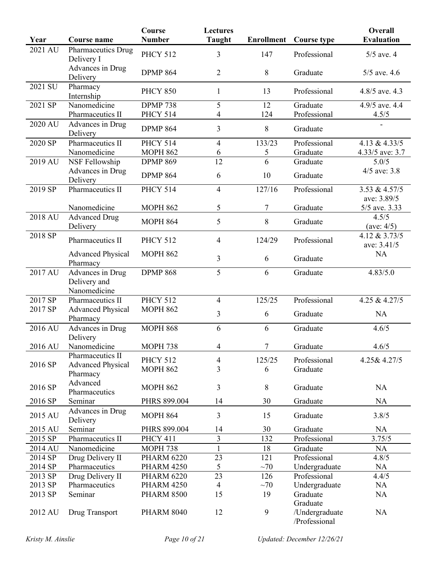| Year    | <b>Course name</b>                   | <b>Course</b><br><b>Number</b> | <b>Lectures</b><br><b>Taught</b> | <b>Enrollment</b> | <b>Course type</b>              | <b>Overall</b><br><b>Evaluation</b> |
|---------|--------------------------------------|--------------------------------|----------------------------------|-------------------|---------------------------------|-------------------------------------|
| 2021 AU |                                      |                                |                                  |                   |                                 |                                     |
|         | Pharmaceutics Drug<br>Delivery I     | <b>PHCY 512</b>                | 3                                | 147               | Professional                    | $5/5$ ave. 4                        |
|         | Advances in Drug<br>Delivery         | <b>DPMP 864</b>                | $\overline{2}$                   | 8                 | Graduate                        | $5/5$ ave. 4.6                      |
| 2021 SU | Pharmacy<br>Internship               | <b>PHCY 850</b>                | 1                                | 13                | Professional                    | 4.8/5 ave. 4.3                      |
| 2021 SP | Nanomedicine                         | <b>DPMP 738</b>                | 5                                | 12                | Graduate                        | 4.9/5 ave. 4.4                      |
|         | Pharmaceutics II                     | <b>PHCY 514</b>                | 4                                | 124               | Professional                    | 4.5/5                               |
| 2020 AU | Advances in Drug<br>Delivery         | <b>DPMP 864</b>                | 3                                | 8                 | Graduate                        |                                     |
| 2020 SP | Pharmaceutics II                     | <b>PHCY 514</b>                | $\overline{4}$                   | 133/23            | Professional                    | 4.13 & 4.33/5                       |
|         | Nanomedicine                         | <b>MOPH 862</b>                | 6                                | 5                 | Graduate                        | 4.33/5 ave: 3.7                     |
| 2019 AU | NSF Fellowship                       | <b>DPMP 869</b>                | 12                               | 6                 | Graduate                        | 5.0/5                               |
|         | Advances in Drug<br>Delivery         | <b>DPMP 864</b>                | 6                                | 10                | Graduate                        | $4/5$ ave: 3.8                      |
| 2019 SP | Pharmaceutics II                     | <b>PHCY 514</b>                | $\overline{4}$                   | 127/16            | Professional                    | 3.53 & 4.57/5                       |
|         |                                      |                                |                                  |                   |                                 | ave: 3.89/5                         |
|         | Nanomedicine                         | <b>MOPH 862</b>                | 5                                | 7                 | Graduate                        | 5/5 ave. 3.33                       |
| 2018 AU | <b>Advanced Drug</b><br>Delivery     | <b>MOPH 864</b>                | 5                                | 8                 | Graduate                        | 4.5/5<br>(ave: $4/5$ )              |
| 2018 SP | Pharmaceutics II                     | <b>PHCY 512</b>                | $\overline{4}$                   | 124/29            | Professional                    | 4.12 & 3.73/5<br>ave: 3.41/5        |
|         | <b>Advanced Physical</b><br>Pharmacy | <b>MOPH 862</b>                | 3                                | 6                 | Graduate                        | <b>NA</b>                           |
| 2017 AU | Advances in Drug                     | <b>DPMP 868</b>                | 5                                | 6                 | Graduate                        | 4.83/5.0                            |
|         | Delivery and<br>Nanomedicine         |                                |                                  |                   |                                 |                                     |
| 2017 SP | Pharmaceutics II                     | <b>PHCY 512</b>                | $\overline{4}$                   | 125/25            | Professional                    | 4.25 & 4.27/5                       |
| 2017 SP | <b>Advanced Physical</b><br>Pharmacy | <b>MOPH 862</b>                | 3                                | 6                 | Graduate                        | <b>NA</b>                           |
| 2016 AU | Advances in Drug<br>Delivery         | <b>MOPH 868</b>                | 6                                | 6                 | Graduate                        | 4.6/5                               |
| 2016 AU | Nanomedicine                         | <b>MOPH 738</b>                | 4                                | 7                 | Graduate                        | 4.6/5                               |
|         | Pharmaceutics II                     | <b>PHCY 512</b>                | $\overline{4}$                   | 125/25            | Professional                    | 4.25& 4.27/5                        |
| 2016 SP | <b>Advanced Physical</b><br>Pharmacy | <b>MOPH 862</b>                | 3                                | 6                 | Graduate                        |                                     |
| 2016 SP | Advanced<br>Pharmaceutics            | <b>MOPH 862</b>                | 3                                | 8                 | Graduate                        | <b>NA</b>                           |
| 2016 SP | Seminar                              | PHRS 899.004                   | 14                               | 30                | Graduate                        | <b>NA</b>                           |
| 2015 AU | Advances in Drug<br>Delivery         | <b>MOPH 864</b>                | 3                                | 15                | Graduate                        | 3.8/5                               |
| 2015 AU | Seminar                              | PHRS 899.004                   | 14                               | 30                | Graduate                        | <b>NA</b>                           |
| 2015 SP | Pharmaceutics II                     | PHCY 411                       | $\overline{3}$                   | 132               | Professional                    | 3.75/5                              |
| 2014 AU | Nanomedicine                         | <b>MOPH 738</b>                | $\mathbf{1}$                     | 18                | Graduate                        | NA                                  |
| 2014 SP | Drug Delivery II                     | <b>PHARM 6220</b>              | 23                               | 121               | Professional                    | 4.8/5                               |
| 2014 SP | Pharmaceutics                        | <b>PHARM 4250</b>              | 5                                | ~1                | Undergraduate                   | <b>NA</b>                           |
| 2013 SP | Drug Delivery II                     | <b>PHARM 6220</b>              | 23                               | 126               | Professional                    | 4.4/5                               |
| 2013 SP | Pharmaceutics                        | <b>PHARM 4250</b>              | $\overline{4}$                   | ~1                | Undergraduate                   | <b>NA</b>                           |
| 2013 SP | Seminar                              | <b>PHARM 8500</b>              | 15                               | 19                | Graduate<br>Graduate            | <b>NA</b>                           |
| 2012 AU | Drug Transport                       | <b>PHARM 8040</b>              | 12                               | 9                 | /Undergraduate<br>/Professional | <b>NA</b>                           |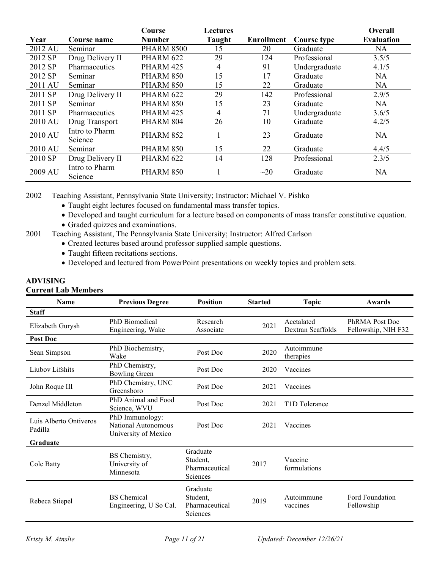|         |                           | Course            | Lectures |                   |               | Overall           |
|---------|---------------------------|-------------------|----------|-------------------|---------------|-------------------|
| Year    | Course name               | <b>Number</b>     | Taught   | <b>Enrollment</b> | Course type   | <b>Evaluation</b> |
| 2012 AU | Seminar                   | <b>PHARM 8500</b> | 15       | 20                | Graduate      | <b>NA</b>         |
| 2012 SP | Drug Delivery II          | PHARM 622         | 29       | 124               | Professional  | 3.5/5             |
| 2012 SP | Pharmaceutics             | PHARM 425         | 4        | 91                | Undergraduate | 4.1/5             |
| 2012 SP | Seminar                   | PHARM 850         | 15       | 17                | Graduate      | <b>NA</b>         |
| 2011 AU | Seminar                   | PHARM 850         | 15       | 22                | Graduate      | <b>NA</b>         |
| 2011 SP | Drug Delivery II          | PHARM 622         | 29       | 142               | Professional  | 2.9/5             |
| 2011 SP | Seminar                   | PHARM 850         | 15       | 23                | Graduate      | <b>NA</b>         |
| 2011 SP | <b>Pharmaceutics</b>      | PHARM 425         | 4        | 71                | Undergraduate | 3.6/5             |
| 2010 AU | Drug Transport            | PHARM 804         | 26       | 10                | Graduate      | 4.2/5             |
| 2010 AU | Intro to Pharm<br>Science | PHARM 852         |          | 23                | Graduate      | <b>NA</b>         |
| 2010 AU | Seminar                   | PHARM 850         | 15       | 22                | Graduate      | 4.4/5             |
| 2010 SP | Drug Delivery II          | PHARM 622         | 14       | 128               | Professional  | 2.3/5             |
| 2009 AU | Intro to Pharm<br>Science | PHARM 850         |          | $\sim$ 20         | Graduate      | <b>NA</b>         |

2002 Teaching Assistant, Pennsylvania State University; Instructor: Michael V. Pishko

- Taught eight lectures focused on fundamental mass transfer topics.
- Developed and taught curriculum for a lecture based on components of mass transfer constitutive equation.
- Graded quizzes and examinations.
- 2001 Teaching Assistant, The Pennsylvania State University; Instructor: Alfred Carlson
	- Created lectures based around professor supplied sample questions.
	- Taught fifteen recitations sections.
	- Developed and lectured from PowerPoint presentations on weekly topics and problem sets.

# **ADVISING**

## **Current Lab Members**

| Name                              | <b>Previous Degree</b>                                         | <b>Position</b>                                    | <b>Started</b> | <b>Topic</b>                    | Awards                                |
|-----------------------------------|----------------------------------------------------------------|----------------------------------------------------|----------------|---------------------------------|---------------------------------------|
| <b>Staff</b>                      |                                                                |                                                    |                |                                 |                                       |
| Elizabeth Gurysh                  | PhD Biomedical<br>Engineering, Wake                            | Research<br>Associate                              | 2021           | Acetalated<br>Dextran Scaffolds | PhRMA Post Doc<br>Fellowship, NIH F32 |
| Post Doc                          |                                                                |                                                    |                |                                 |                                       |
| Sean Simpson                      | PhD Biochemistry,<br>Wake                                      | Post Doc                                           | 2020           | Autoimmune<br>therapies         |                                       |
| Liubov Lifshits                   | PhD Chemistry,<br><b>Bowling Green</b>                         | Post Doc                                           | 2020           | Vaccines                        |                                       |
| John Roque III                    | PhD Chemistry, UNC<br>Greensboro                               | Post Doc                                           | 2021           | Vaccines                        |                                       |
| Denzel Middleton                  | PhD Animal and Food<br>Science, WVU                            | Post Doc                                           | 2021           | T <sub>1</sub> D Tolerance      |                                       |
| Luis Alberto Ontiveros<br>Padilla | PhD Immunology:<br>National Autonomous<br>University of Mexico | Post Doc                                           | 2021           | Vaccines                        |                                       |
| <b>Graduate</b>                   |                                                                |                                                    |                |                                 |                                       |
| Cole Batty                        | BS Chemistry,<br>University of<br>Minnesota                    | Graduate<br>Student.<br>Pharmaceutical<br>Sciences | 2017           | Vaccine<br>formulations         |                                       |
| Rebeca Stiepel                    | <b>BS</b> Chemical<br>Engineering, U So Cal.                   | Graduate<br>Student,<br>Pharmaceutical<br>Sciences | 2019           | Autoimmune<br>vaccines          | Ford Foundation<br>Fellowship         |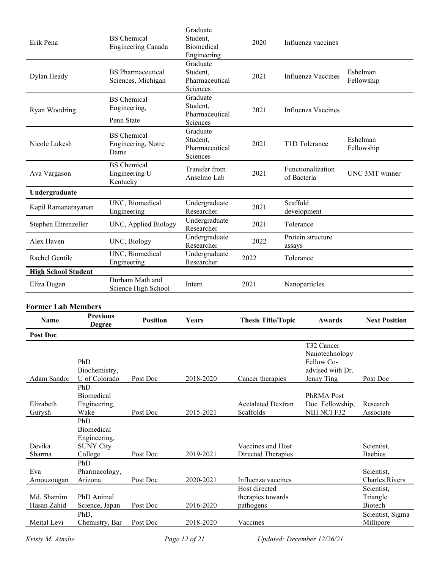| Erik Pena                     |                                                                  |                 | <b>BS</b> Chemical<br>Engineering Canada       | Graduate<br>Student,<br>Biomedical<br>Engineering  | 2020                                    |           | Influenza vaccines                                             |                                     |
|-------------------------------|------------------------------------------------------------------|-----------------|------------------------------------------------|----------------------------------------------------|-----------------------------------------|-----------|----------------------------------------------------------------|-------------------------------------|
| Dylan Heady                   |                                                                  |                 | <b>BS</b> Pharmaceutical<br>Sciences, Michigan | Graduate<br>Student,<br>Pharmaceutical<br>Sciences | 2021                                    |           | Influenza Vaccines                                             | Eshelman<br>Fellowship              |
| Ryan Woodring                 |                                                                  | Penn State      | <b>BS</b> Chemical<br>Engineering,             | Graduate<br>Student,<br>Pharmaceutical<br>Sciences | 2021                                    |           | Influenza Vaccines                                             |                                     |
| Nicole Lukesh                 |                                                                  | Dame            | <b>BS</b> Chemical<br>Engineering, Notre       | Graduate<br>Student,<br>Pharmaceutical<br>Sciences | 2021                                    |           | T1D Tolerance                                                  | Eshelman<br>Fellowship              |
| Ava Vargason                  |                                                                  | Kentucky        | <b>BS</b> Chemical<br>Engineering U            | Transfer from<br>Anselmo Lab                       | 2021                                    |           | Functionalization<br>of Bacteria                               | UNC 3MT winner                      |
| Undergraduate                 |                                                                  |                 |                                                |                                                    |                                         |           |                                                                |                                     |
| Kapil Ramanarayanan           |                                                                  |                 | UNC, Biomedical<br>Engineering                 | Undergraduate<br>Researcher                        | 2021                                    | Scaffold  | development                                                    |                                     |
| Stephen Ehrenzeller           |                                                                  |                 | UNC, Applied Biology                           | Undergraduate<br>Researcher                        | 2021                                    | Tolerance |                                                                |                                     |
| Alex Haven                    |                                                                  |                 | UNC, Biology                                   | Undergraduate<br>Researcher                        | 2022                                    | assays    | Protein structure                                              |                                     |
| Rachel Gentile<br>Engineering |                                                                  | UNC, Biomedical | Undergraduate<br>Researcher                    | 2022                                               | Tolerance                               |           |                                                                |                                     |
| <b>High School Student</b>    |                                                                  |                 |                                                |                                                    |                                         |           |                                                                |                                     |
| Eliza Dugan                   |                                                                  |                 | Durham Math and<br>Science High School         | Intern                                             | 2021                                    |           | Nanoparticles                                                  |                                     |
| <b>Former Lab Members</b>     |                                                                  |                 |                                                |                                                    |                                         |           |                                                                |                                     |
| <b>Name</b>                   | <b>Previous</b><br><b>Degree</b>                                 |                 | <b>Position</b>                                | Years                                              | <b>Thesis Title/Topic</b>               |           | Awards                                                         | <b>Next Position</b>                |
| <b>Post Doc</b>               |                                                                  |                 |                                                |                                                    |                                         |           |                                                                |                                     |
|                               | PhD<br>Biochemistry,                                             |                 |                                                |                                                    |                                         |           | T32 Cancer<br>Nanotechnology<br>Fellow Co-<br>advised with Dr. |                                     |
| Adam Sandor                   | U of Colorado                                                    |                 | Post Doc                                       | 2018-2020                                          | Cancer therapies                        |           | Jenny Ting                                                     | Post Doc                            |
| Elizabeth<br>Gurysh           | PhD<br>Biomedical<br>Engineering,<br>Wake                        |                 | Post Doc                                       | 2015-2021                                          | <b>Acetalated Dextran</b><br>Scaffolds  |           | PhRMA Post<br>Doc Fellowship,<br>NIH NCI F32                   | Research<br>Associate               |
| Devika<br>Sharma              | PhD<br>Biomedical<br>Engineering,<br><b>SUNY City</b><br>College |                 | Post Doc                                       | 2019-2021                                          | Vaccines and Host<br>Directed Therapies |           |                                                                | Scientist,<br><b>Baebies</b>        |
|                               | PhD                                                              |                 |                                                |                                                    |                                         |           |                                                                |                                     |
| Eva<br>Amouzougan             | Pharmacology,<br>Arizona                                         |                 | Post Doc                                       | 2020-2021                                          | Influenza vaccines                      |           |                                                                | Scientist,<br><b>Charles Rivers</b> |
|                               |                                                                  |                 |                                                |                                                    | Host directed                           |           |                                                                | Scientist,                          |
| Md. Shamim<br>Hasan Zahid     | PhD Animal<br>Science, Japan                                     |                 | Post Doc                                       | 2016-2020                                          | therapies towards<br>pathogens          |           |                                                                | Triangle<br>Biotech                 |
| Meital Levi                   | PhD,                                                             |                 |                                                |                                                    |                                         |           |                                                                | Scientist, Sigma                    |
|                               | Chemistry, Bar                                                   |                 | Post Doc                                       | 2018-2020                                          | Vaccines                                |           |                                                                | Millipore                           |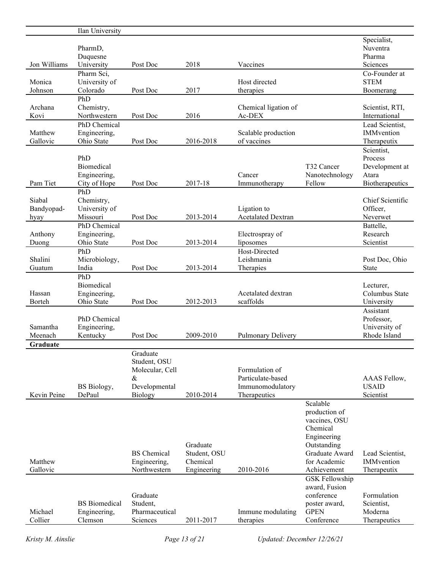|                    | Ilan University             |                            |              |                                |                           |                               |
|--------------------|-----------------------------|----------------------------|--------------|--------------------------------|---------------------------|-------------------------------|
|                    |                             |                            |              |                                |                           | Specialist,                   |
|                    | PharmD,                     |                            |              |                                |                           | Nuventra                      |
|                    | Duquesne                    |                            |              |                                |                           | Pharma                        |
| Jon Williams       | University                  | Post Doc                   | 2018         | Vaccines                       |                           | Sciences                      |
|                    | Pharm Sci,                  |                            |              |                                |                           | Co-Founder at                 |
| Monica             | University of               |                            |              | Host directed                  |                           | <b>STEM</b>                   |
| Johnson            | Colorado                    | Post Doc                   | 2017         | therapies                      |                           | Boomerang                     |
|                    | PhD                         |                            |              |                                |                           |                               |
| Archana            | Chemistry,                  |                            |              | Chemical ligation of           |                           | Scientist, RTI,               |
| Kovi               | Northwestern                | Post Doc                   | 2016         | Ac-DEX                         |                           | International                 |
|                    | PhD Chemical                |                            |              |                                |                           | Lead Scientist,               |
| Matthew            | Engineering,                |                            |              | Scalable production            |                           | IMMvention                    |
| Gallovic           | Ohio State                  | Post Doc                   | 2016-2018    | of vaccines                    |                           | Therapeutix                   |
|                    |                             |                            |              |                                |                           | Scientist,                    |
|                    | PhD                         |                            |              |                                |                           | Process                       |
|                    | Biomedical                  |                            |              |                                | T32 Cancer                | Development at                |
|                    | Engineering,                |                            |              | Cancer                         | Nanotechnology            | Atara                         |
| Pam Tiet           | City of Hope                | Post Doc                   | 2017-18      | Immunotherapy                  | Fellow                    | Biotherapeutics               |
|                    | PhD                         |                            |              |                                |                           | Chief Scientific              |
| Siabal             | Chemistry,<br>University of |                            |              | Ligation to                    |                           | Officer,                      |
| Bandyopad-         | Missouri                    | Post Doc                   | 2013-2014    | <b>Acetalated Dextran</b>      |                           | Neverwet                      |
| hyay               | PhD Chemical                |                            |              |                                |                           | Battelle,                     |
| Anthony            | Engineering,                |                            |              | Electrospray of                |                           | Research                      |
| Duong              | Ohio State                  | Post Doc                   | 2013-2014    | liposomes                      |                           | Scientist                     |
|                    | PhD                         |                            |              | Host-Directed                  |                           |                               |
| Shalini            | Microbiology,               |                            |              | Leishmania                     |                           | Post Doc, Ohio                |
| Guatum             | India                       | Post Doc                   | 2013-2014    | Therapies                      |                           | <b>State</b>                  |
|                    | PhD                         |                            |              |                                |                           |                               |
|                    |                             |                            |              |                                |                           |                               |
|                    |                             |                            |              |                                |                           |                               |
|                    | Biomedical                  |                            |              |                                |                           | Lecturer,                     |
| Hassan             | Engineering,                |                            |              | Acetalated dextran             |                           | Columbus State                |
| Borteh             | Ohio State                  | Post Doc                   | 2012-2013    | scaffolds                      |                           | University                    |
|                    |                             |                            |              |                                |                           | Assistant                     |
| Samantha           | PhD Chemical                |                            |              |                                |                           | Professor,                    |
| Meenach            | Engineering,<br>Kentucky    | Post Doc                   | 2009-2010    | <b>Pulmonary Delivery</b>      |                           | University of<br>Rhode Island |
| Graduate           |                             |                            |              |                                |                           |                               |
|                    |                             | Graduate                   |              |                                |                           |                               |
|                    |                             | Student, OSU               |              |                                |                           |                               |
|                    |                             | Molecular, Cell            |              | Formulation of                 |                           |                               |
|                    |                             | &                          |              | Particulate-based              |                           | AAAS Fellow,                  |
|                    | BS Biology,                 | Developmental              |              | Immunomodulatory               |                           | <b>USAID</b>                  |
| Kevin Peine        | DePaul                      | <b>Biology</b>             | 2010-2014    | Therapeutics                   |                           | Scientist                     |
|                    |                             |                            |              |                                | Scalable                  |                               |
|                    |                             |                            |              |                                | production of             |                               |
|                    |                             |                            |              |                                | vaccines, OSU             |                               |
|                    |                             |                            |              |                                | Chemical                  |                               |
|                    |                             |                            |              |                                | Engineering               |                               |
|                    |                             |                            | Graduate     |                                | Outstanding               |                               |
|                    |                             | <b>BS</b> Chemical         | Student, OSU |                                | Graduate Award            | Lead Scientist,               |
| Matthew            |                             | Engineering,               | Chemical     |                                | for Academic              | IMMvention                    |
| Gallovic           |                             | Northwestern               | Engineering  | 2010-2016                      | Achievement               | Therapeutix                   |
|                    |                             |                            |              |                                | <b>GSK Fellowship</b>     |                               |
|                    |                             |                            |              |                                | award, Fusion             |                               |
|                    |                             | Graduate                   |              |                                | conference                | Formulation                   |
|                    | <b>BS</b> Biomedical        | Student,                   |              |                                | poster award,             | Scientist,                    |
| Michael<br>Collier | Engineering,<br>Clemson     | Pharmaceutical<br>Sciences | 2011-2017    | Immune modulating<br>therapies | <b>GPEN</b><br>Conference | Moderna<br>Therapeutics       |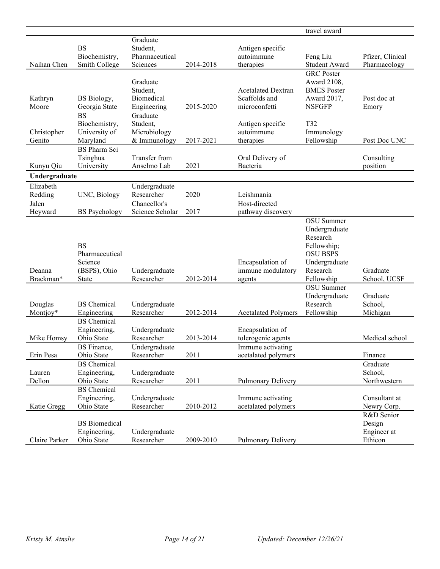|                       |                                                                        |                                                      |           |                                                             | travel award                                                                                                         |                                                |
|-----------------------|------------------------------------------------------------------------|------------------------------------------------------|-----------|-------------------------------------------------------------|----------------------------------------------------------------------------------------------------------------------|------------------------------------------------|
|                       | <b>BS</b>                                                              | Graduate<br>Student,                                 |           | Antigen specific                                            |                                                                                                                      |                                                |
|                       | Biochemistry,                                                          | Pharmaceutical                                       |           | autoimmune                                                  | Feng Liu                                                                                                             | Pfizer, Clinical                               |
| Naihan Chen           | Smith College                                                          | Sciences                                             | 2014-2018 | therapies                                                   | Student Award                                                                                                        | Pharmacology                                   |
| Kathryn<br>Moore      | BS Biology,<br>Georgia State                                           | Graduate<br>Student,<br>Biomedical<br>Engineering    | 2015-2020 | <b>Acetalated Dextran</b><br>Scaffolds and<br>microconfetti | <b>GRC</b> Poster<br>Award 2108,<br><b>BMES</b> Poster<br>Award 2017,<br><b>NSFGFP</b>                               | Post doc at<br>Emory                           |
| Christopher<br>Genito | <b>BS</b><br>Biochemistry,<br>University of<br>Maryland                | Graduate<br>Student,<br>Microbiology<br>& Immunology | 2017-2021 | Antigen specific<br>autoimmune<br>therapies                 | T32<br>Immunology<br>Fellowship                                                                                      | Post Doc UNC                                   |
| Kunyu Qiu             | <b>BS</b> Pharm Sci<br>Tsinghua<br>University                          | Transfer from<br>Anselmo Lab                         | 2021      | Oral Delivery of<br>Bacteria                                |                                                                                                                      | Consulting<br>position                         |
| Undergraduate         |                                                                        |                                                      |           |                                                             |                                                                                                                      |                                                |
| Elizabeth             |                                                                        | Undergraduate                                        |           |                                                             |                                                                                                                      |                                                |
| Redding               | UNC, Biology                                                           | Researcher                                           | 2020      | Leishmania                                                  |                                                                                                                      |                                                |
| Jalen                 |                                                                        | Chancellor's                                         |           | Host-directed                                               |                                                                                                                      |                                                |
| Heyward               | <b>BS</b> Psychology                                                   | Science Scholar                                      | 2017      | pathway discovery                                           |                                                                                                                      |                                                |
| Deanna<br>Brackman*   | <b>BS</b><br>Pharmaceutical<br>Science<br>(BSPS), Ohio<br><b>State</b> | Undergraduate<br>Researcher                          | 2012-2014 | Encapsulation of<br>immune modulatory<br>agents             | OSU Summer<br>Undergraduate<br>Research<br>Fellowship;<br><b>OSU BSPS</b><br>Undergraduate<br>Research<br>Fellowship | Graduate<br>School, UCSF                       |
| Douglas<br>Montjoy*   | <b>BS</b> Chemical<br>Engineering                                      | Undergraduate<br>Researcher                          | 2012-2014 | <b>Acetalated Polymers</b>                                  | OSU Summer<br>Undergraduate<br>Research<br>Fellowship                                                                | Graduate<br>School,<br>Michigan                |
| Mike Homsy            | <b>BS</b> Chemical<br>Engineering,<br>Ohio State<br><b>BS</b> Finance, | Undergraduate<br>Researcher<br>Undergraduate         | 2013-2014 | Encapsulation of<br>tolerogenic agents<br>Immune activating |                                                                                                                      | Medical school                                 |
| Erin Pesa             | Ohio State                                                             | Researcher                                           | 2011      | acetalated polymers                                         |                                                                                                                      | Finance                                        |
| Lauren<br>Dellon      | <b>BS</b> Chemical<br>Engineering,<br>Ohio State                       | Undergraduate<br>Researcher                          | 2011      | Pulmonary Delivery                                          |                                                                                                                      | Graduate<br>School,<br>Northwestern            |
| Katie Gregg           | <b>BS</b> Chemical<br>Engineering,<br>Ohio State                       | Undergraduate<br>Researcher                          | 2010-2012 | Immune activating<br>acetalated polymers                    |                                                                                                                      | Consultant at<br>Newry Corp.                   |
| Claire Parker         | <b>BS</b> Biomedical<br>Engineering,<br>Ohio State                     | Undergraduate<br>Researcher                          | 2009-2010 | Pulmonary Delivery                                          |                                                                                                                      | R&D Senior<br>Design<br>Engineer at<br>Ethicon |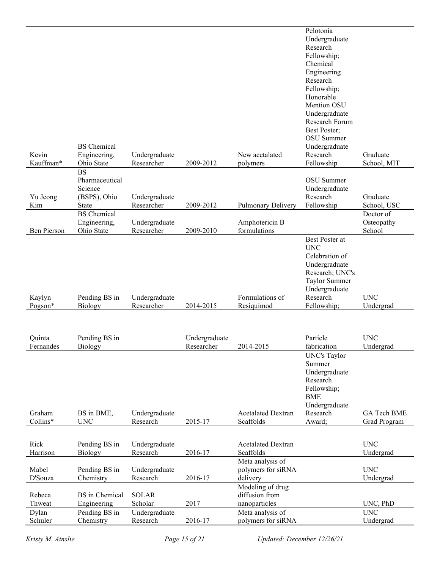|                    |                              |                             |               |                                   | Pelotonia<br>Undergraduate             |                          |
|--------------------|------------------------------|-----------------------------|---------------|-----------------------------------|----------------------------------------|--------------------------|
|                    |                              |                             |               |                                   | Research                               |                          |
|                    |                              |                             |               |                                   | Fellowship;                            |                          |
|                    |                              |                             |               |                                   | Chemical                               |                          |
|                    |                              |                             |               |                                   | Engineering<br>Research                |                          |
|                    |                              |                             |               |                                   | Fellowship;                            |                          |
|                    |                              |                             |               |                                   | Honorable                              |                          |
|                    |                              |                             |               |                                   | Mention OSU                            |                          |
|                    |                              |                             |               |                                   | Undergraduate<br><b>Research Forum</b> |                          |
|                    |                              |                             |               |                                   | Best Poster;                           |                          |
|                    |                              |                             |               |                                   | OSU Summer                             |                          |
|                    | <b>BS</b> Chemical           |                             |               |                                   | Undergraduate                          |                          |
| Kevin<br>Kauffman* | Engineering,<br>Ohio State   | Undergraduate<br>Researcher | 2009-2012     | New acetalated<br>polymers        | Research<br>Fellowship                 | Graduate<br>School, MIT  |
|                    | <b>BS</b>                    |                             |               |                                   |                                        |                          |
|                    | Pharmaceutical               |                             |               |                                   | OSU Summer                             |                          |
|                    | Science                      |                             |               |                                   | Undergraduate                          |                          |
| Yu Jeong<br>Kim    | (BSPS), Ohio<br><b>State</b> | Undergraduate<br>Researcher | 2009-2012     |                                   | Research                               | Graduate                 |
|                    | <b>BS</b> Chemical           |                             |               | Pulmonary Delivery                | Fellowship                             | School, USC<br>Doctor of |
|                    | Engineering,                 | Undergraduate               |               | Amphotericin B                    |                                        | Osteopathy               |
| Ben Pierson        | Ohio State                   | Researcher                  | 2009-2010     | formulations                      |                                        | School                   |
|                    |                              |                             |               |                                   | Best Poster at                         |                          |
|                    |                              |                             |               |                                   | <b>UNC</b><br>Celebration of           |                          |
|                    |                              |                             |               |                                   | Undergraduate                          |                          |
|                    |                              |                             |               |                                   | Research; UNC's                        |                          |
|                    |                              |                             |               |                                   | Taylor Summer                          |                          |
| Kaylyn             | Pending BS in                | Undergraduate               |               | Formulations of                   | Undergraduate<br>Research              | <b>UNC</b>               |
| Pogson*            | Biology                      | Researcher                  | 2014-2015     | Resiquimod                        | Fellowship;                            | Undergrad                |
|                    |                              |                             |               |                                   |                                        |                          |
|                    |                              |                             |               |                                   |                                        |                          |
| Quinta             | Pending BS in                |                             | Undergraduate |                                   | Particle                               | <b>UNC</b>               |
| Fernandes          | <b>Biology</b>               |                             | Researcher    | 2014-2015                         | fabrication<br><b>UNC's Taylor</b>     | Undergrad                |
|                    |                              |                             |               |                                   | Summer                                 |                          |
|                    |                              |                             |               |                                   | Undergraduate                          |                          |
|                    |                              |                             |               |                                   | Research                               |                          |
|                    |                              |                             |               |                                   | Fellowship;                            |                          |
|                    |                              |                             |               |                                   | <b>BME</b><br>Undergraduate            |                          |
| Graham             | BS in BME,                   | Undergraduate               |               | <b>Acetalated Dextran</b>         | Research                               | GA Tech BME              |
| Collins*           | <b>UNC</b>                   | Research                    | 2015-17       | Scaffolds                         | Award;                                 | <b>Grad Program</b>      |
|                    |                              |                             |               |                                   |                                        |                          |
| Rick               | Pending BS in                | Undergraduate               |               | <b>Acetalated Dextran</b>         |                                        | <b>UNC</b>               |
| Harrison           | Biology                      | Research                    | 2016-17       | Scaffolds<br>Meta analysis of     |                                        | Undergrad                |
| Mabel              | Pending BS in                | Undergraduate               |               | polymers for siRNA                |                                        | <b>UNC</b>               |
| D'Souza            | Chemistry                    | Research                    | 2016-17       | delivery                          |                                        | Undergrad                |
|                    |                              |                             |               | Modeling of drug                  |                                        |                          |
| Rebeca             | <b>BS</b> in Chemical        | <b>SOLAR</b>                | 2017          | diffusion from                    |                                        |                          |
| Thweat<br>Dylan    | Engineering<br>Pending BS in | Scholar<br>Undergraduate    |               | nanoparticles<br>Meta analysis of |                                        | UNC, PhD<br><b>UNC</b>   |
| Schuler            | Chemistry                    | Research                    | 2016-17       | polymers for siRNA                |                                        | Undergrad                |
|                    |                              |                             |               |                                   |                                        |                          |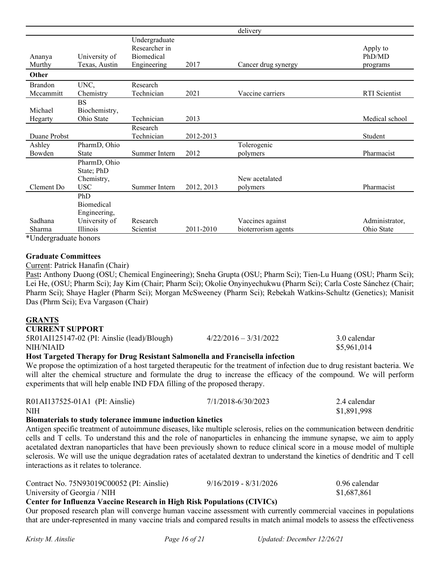|                                             |                                                        |                                                             |            | delivery                                |                                |
|---------------------------------------------|--------------------------------------------------------|-------------------------------------------------------------|------------|-----------------------------------------|--------------------------------|
| Ananya<br>Murthy                            | University of<br>Texas, Austin                         | Undergraduate<br>Researcher in<br>Biomedical<br>Engineering | 2017       | Cancer drug synergy                     | Apply to<br>PhD/MD<br>programs |
| Other                                       |                                                        |                                                             |            |                                         |                                |
| <b>Brandon</b><br>Mccammitt                 | UNC,<br>Chemistry                                      | Research<br>Technician                                      | 2021       | Vaccine carriers                        | <b>RTI</b> Scientist           |
| Michael<br>Hegarty                          | <b>BS</b><br>Biochemistry,<br>Ohio State               | Technician                                                  | 2013       |                                         | Medical school                 |
| Duane Probst                                |                                                        | Research<br>Technician                                      | 2012-2013  |                                         | Student                        |
| Ashley<br>Bowden                            | PharmD, Ohio<br><b>State</b>                           | Summer Intern                                               | 2012       | Tolerogenic<br>polymers                 | Pharmacist                     |
| Clement Do                                  | PharmD, Ohio<br>State; PhD<br>Chemistry,<br><b>USC</b> | Summer Intern                                               | 2012, 2013 | New acetalated<br>polymers              | Pharmacist                     |
|                                             | PhD<br><b>Biomedical</b><br>Engineering,               |                                                             |            |                                         |                                |
| Sadhana<br>Sharma<br>$+TT-1$<br>$1 \cdot 1$ | University of<br>Illinois                              | Research<br>Scientist                                       | 2011-2010  | Vaccines against<br>bioterrorism agents | Administrator,<br>Ohio State   |

\*Undergraduate honors

#### **Graduate Committees**

Current: Patrick Hanafin (Chair)

Past**:** Anthony Duong (OSU; Chemical Engineering); Sneha Grupta (OSU; Pharm Sci); Tien-Lu Huang (OSU; Pharm Sci); Lei He, (OSU; Pharm Sci); Jay Kim (Chair; Pharm Sci); Okolie Onyinyechukwu (Pharm Sci); Carla Coste Sánchez (Chair; Pharm Sci); Shaye Hagler (Pharm Sci); Morgan McSweeney (Pharm Sci); Rebekah Watkins-Schultz (Genetics); Manisit Das (Phrm Sci); Eva Vargason (Chair)

#### **GRANTS**

| <b>CURRENT SUPPORT</b> |  |
|------------------------|--|
|------------------------|--|

| 5R01AI125147-02 (PI: Ainslie (lead)/Blough) | $4/22/2016 - 3/31/2022$ | 3.0 calendar |
|---------------------------------------------|-------------------------|--------------|
| NIH/NIAID                                   |                         | \$5,961,014  |

#### **Host Targeted Therapy for Drug Resistant Salmonella and Francisella infection**

We propose the optimization of a host targeted therapeutic for the treatment of infection due to drug resistant bacteria. We will alter the chemical structure and formulate the drug to increase the efficacy of the compound. We will perform experiments that will help enable IND FDA filling of the proposed therapy.

| R01AI137525-01A1 (PI: Ainslie) | 7/1/2018-6/30/2023 | 2.4 calendar |
|--------------------------------|--------------------|--------------|
| NIH                            |                    | \$1,891,998  |

#### **Biomaterials to study tolerance immune induction kinetics**

Antigen specific treatment of autoimmune diseases, like multiple sclerosis, relies on the communication between dendritic cells and T cells. To understand this and the role of nanoparticles in enhancing the immune synapse, we aim to apply acetalated dextran nanoparticles that have been previously shown to reduce clinical score in a mouse model of multiple sclerosis. We will use the unique degradation rates of acetalated dextran to understand the kinetics of dendritic and T cell interactions as it relates to tolerance.

| Contract No. 75N93019C00052 (PI: Ainslie)                     | $9/16/2019 - 8/31/2026$ | 0.96 calendar |
|---------------------------------------------------------------|-------------------------|---------------|
| University of Georgia / NIH                                   |                         | \$1,687,861   |
| $\sim$ $\sim$ $\sim$ $\sim$ $\sim$ $\sim$<br>1 ' II' I D' I D |                         |               |

#### **Center for Influenza Vaccine Research in High Risk Populations (CIVICs)**

Our proposed research plan will converge human vaccine assessment with currently commercial vaccines in populations that are under-represented in many vaccine trials and compared results in match animal models to assess the effectiveness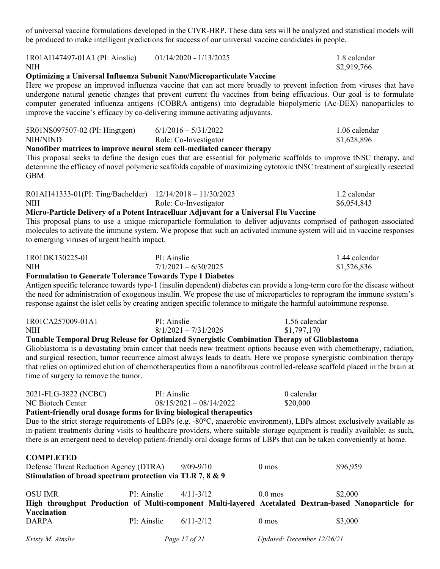of universal vaccine formulations developed in the CIVR-HRP. These data sets will be analyzed and statistical models will be produced to make intelligent predictions for success of our universal vaccine candidates in people.

| 1R01AI147497-01A1 (PI: Ainslie)<br><b>NIH</b>                                                                                                                                                                                                                                                                                                                                                                                                                                                                                                                                   |             | $01/14/2020 - 1/13/2025$                        |                  | 1.8 calendar<br>\$2,919,766                                                                                                                                                                                                                                                                                                                                                                                     |
|---------------------------------------------------------------------------------------------------------------------------------------------------------------------------------------------------------------------------------------------------------------------------------------------------------------------------------------------------------------------------------------------------------------------------------------------------------------------------------------------------------------------------------------------------------------------------------|-------------|-------------------------------------------------|------------------|-----------------------------------------------------------------------------------------------------------------------------------------------------------------------------------------------------------------------------------------------------------------------------------------------------------------------------------------------------------------------------------------------------------------|
| Optimizing a Universal Influenza Subunit Nano/Microparticulate Vaccine<br>improve the vaccine's efficacy by co-delivering immune activating adjuvants.                                                                                                                                                                                                                                                                                                                                                                                                                          |             |                                                 |                  | Here we propose an improved influenza vaccine that can act more broadly to prevent infection from viruses that have<br>undergone natural genetic changes that prevent current flu vaccines from being efficacious. Our goal is to formulate<br>computer generated influenza antigens (COBRA antigens) into degradable biopolymeric (Ac-DEX) nanoparticles to                                                    |
| 5R01NS097507-02 (PI: Hingtgen)<br>NIH/NIND<br>Nanofiber matrices to improve neural stem cell-mediated cancer therapy<br>GBM.                                                                                                                                                                                                                                                                                                                                                                                                                                                    |             | $6/1/2016 - 5/31/2022$<br>Role: Co-Investigator |                  | 1.06 calendar<br>\$1,628,896<br>This proposal seeks to define the design cues that are essential for polymeric scaffolds to improve tNSC therapy, and<br>determine the efficacy of novel polymeric scaffolds capable of maximizing cytotoxic tNSC treatment of surgically resected                                                                                                                              |
| R01AI141333-01(PI: Ting/Bachelder) 12/14/2018 - 11/30/2023<br><b>NIH</b><br>Micro-Particle Delivery of a Potent Intracelluar Adjuvant for a Universal Flu Vaccine<br>to emerging viruses of urgent health impact.                                                                                                                                                                                                                                                                                                                                                               |             | Role: Co-Investigator                           |                  | 1.2 calendar<br>\$6,054,843<br>This proposal plans to use a unique microparticle formulation to deliver adjuvants comprised of pathogen-associated<br>molecules to activate the immune system. We propose that such an activated immune system will aid in vaccine responses                                                                                                                                    |
| 1R01DK130225-01<br><b>NIH</b><br><b>Formulation to Generate Tolerance Towards Type 1 Diabetes</b>                                                                                                                                                                                                                                                                                                                                                                                                                                                                               |             | PI: Ainslie<br>$7/1/2021 - 6/30/2025$           |                  | 1.44 calendar<br>\$1,526,836<br>Antigen specific tolerance towards type-1 (insulin dependent) diabetes can provide a long-term cure for the disease without<br>the need for administration of exogenous insulin. We propose the use of microparticles to reprogram the immune system's<br>response against the islet cells by creating antigen specific tolerance to mitigate the harmful autoimmune response.  |
| 1R01CA257009-01A1<br><b>NIH</b><br>Tunable Temporal Drug Release for Optimized Synergistic Combination Therapy of Glioblastoma<br>time of surgery to remove the tumor.                                                                                                                                                                                                                                                                                                                                                                                                          |             | PI: Ainslie<br>$8/1/2021 - 7/31/2026$           |                  | 1.56 calendar<br>\$1,797,170<br>Glioblastoma is a devastating brain cancer that needs new treatment options because even with chemotherapy, radiation,<br>and surgical resection, tumor recurrence almost always leads to death. Here we propose synergistic combination therapy<br>that relies on optimized elution of chemotherapeutics from a nanofibrous controlled-release scaffold placed in the brain at |
| PI: Ainslie<br>0 calendar<br>2021-FLG-3822 (NCBC)<br>$08/15/2021 - 08/14/2022$<br>\$20,000<br>NC Biotech Center<br>Patient-friendly oral dosage forms for living biological therapeutics<br>Due to the strict storage requirements of LBPs (e.g. -80°C, anaerobic environment), LBPs almost exclusively available as<br>in-patient treatments during visits to healthcare providers, where suitable storage equipment is readily available; as such,<br>there is an emergent need to develop patient-friendly oral dosage forms of LBPs that can be taken conveniently at home. |             |                                                 |                  |                                                                                                                                                                                                                                                                                                                                                                                                                 |
| <b>COMPLETED</b><br>Defense Threat Reduction Agency (DTRA)<br>Stimulation of broad spectrum protection via TLR 7, 8 & 9                                                                                                                                                                                                                                                                                                                                                                                                                                                         |             | $9/09 - 9/10$                                   | 0 <sub>mos</sub> | \$96,959                                                                                                                                                                                                                                                                                                                                                                                                        |
| <b>OSU IMR</b><br>Vaccination                                                                                                                                                                                                                                                                                                                                                                                                                                                                                                                                                   | PI: Ainslie | $4/11 - 3/12$                                   | $0.0$ mos        | \$2,000<br>High throughput Production of Multi-component Multi-layered Acetalated Dextran-based Nanoparticle for                                                                                                                                                                                                                                                                                                |
| <b>DARPA</b>                                                                                                                                                                                                                                                                                                                                                                                                                                                                                                                                                                    | PI: Ainslie | $6/11 - 2/12$                                   | $0 \text{ mos}$  | \$3,000                                                                                                                                                                                                                                                                                                                                                                                                         |

*Kristy M. Ainslie Page 17 of 21 Updated: December 12/26/21*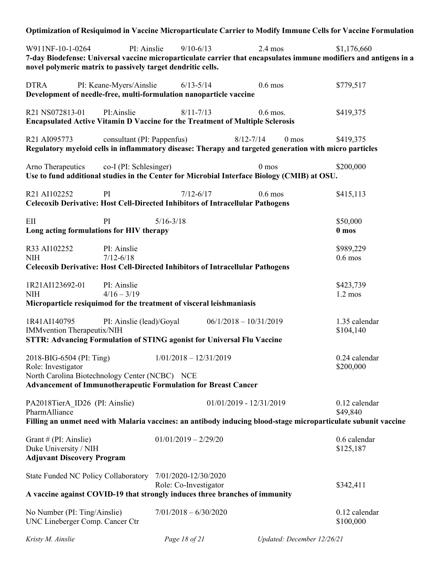| Optimization of Resiquimod in Vaccine Microparticulate Carrier to Modify Immune Cells for Vaccine Formulation                                                                                                       |                          |                          |                            |                            |
|---------------------------------------------------------------------------------------------------------------------------------------------------------------------------------------------------------------------|--------------------------|--------------------------|----------------------------|----------------------------|
| W911NF-10-1-0264<br>PI: Ainslie<br>7-day Biodefense: Universal vaccine microparticulate carrier that encapsulates immune modifiers and antigens in a<br>novel polymeric matrix to passively target dendritic cells. | $9/10 - 6/13$            | $2.4$ mos                |                            | \$1,176,660                |
| <b>DTRA</b><br>PI: Keane-Myers/Ainslie<br>Development of needle-free, multi-formulation nanoparticle vaccine                                                                                                        | $6/13 - 5/14$            | $0.6$ mos                |                            | \$779,517                  |
| PI:Ainslie<br>R21 NS072813-01<br><b>Encapsulated Active Vitamin D Vaccine for the Treatment of Multiple Sclerosis</b>                                                                                               | $8/11 - 7/13$            | $0.6$ mos.               |                            | \$419,375                  |
| R21 AI095773<br>consultant (PI: Pappenfus)<br>Regulatory myeloid cells in inflammatory disease: Therapy and targeted generation with micro particles                                                                |                          | $8/12 - 7/14$            | 0 <sub>mos</sub>           | \$419,375                  |
| co-I (PI: Schlesinger)<br>Arno Therapeutics<br>Use to fund additional studies in the Center for Microbial Interface Biology (CMIB) at OSU.                                                                          |                          | 0 <sub>mos</sub>         |                            | \$200,000                  |
| R21 AI102252<br>PI<br><b>Celecoxib Derivative: Host Cell-Directed Inhibitors of Intracellular Pathogens</b>                                                                                                         | $7/12 - 6/17$            | $0.6$ mos                |                            | \$415,113                  |
| EII<br>PI<br>Long acting formulations for HIV therapy                                                                                                                                                               | $5/16 - 3/18$            |                          |                            | \$50,000<br>0 mos          |
| R33 AI102252<br>PI: Ainslie<br><b>NIH</b><br>$7/12 - 6/18$<br><b>Celecoxib Derivative: Host Cell-Directed Inhibitors of Intracellular Pathogens</b>                                                                 |                          |                          |                            | \$989,229<br>$0.6$ mos     |
| 1R21AI123692-01<br>PI: Ainslie<br>$4/16 - 3/19$<br><b>NIH</b><br>Microparticle resiquimod for the treatment of visceral leishmaniasis                                                                               |                          |                          |                            | \$423,739<br>$1.2$ mos     |
| PI: Ainslie (lead)/Goyal<br>1R41AI140795<br><b>IMMvention Therapeutix/NIH</b><br>STTR: Advancing Formulation of STING agonist for Universal Flu Vaccine                                                             |                          | $06/1/2018 - 10/31/2019$ |                            | 1.35 calendar<br>\$104,140 |
| 2018-BIG-6504 (PI: Ting)<br>Role: Investigator<br>North Carolina Biotechnology Center (NCBC) NCE<br><b>Advancement of Immunotherapeutic Formulation for Breast Cancer</b>                                           | $1/01/2018 - 12/31/2019$ |                          |                            | 0.24 calendar<br>\$200,000 |
| PA2018TierA ID26 (PI: Ainslie)<br>PharmAlliance<br>Filling an unmet need with Malaria vaccines: an antibody inducing blood-stage microparticulate subunit vaccine                                                   |                          | 01/01/2019 - 12/31/2019  |                            | 0.12 calendar<br>\$49,840  |
| Grant # (PI: Ainslie)<br>Duke University / NIH<br><b>Adjuvant Discovery Program</b>                                                                                                                                 | $01/01/2019 - 2/29/20$   |                          |                            | 0.6 calendar<br>\$125,187  |
| State Funded NC Policy Collaboratory 7/01/2020-12/30/2020<br>A vaccine against COVID-19 that strongly induces three branches of immunity                                                                            | Role: Co-Investigator    |                          |                            | \$342,411                  |
| No Number (PI: Ting/Ainslie)<br>UNC Lineberger Comp. Cancer Ctr                                                                                                                                                     | $7/01/2018 - 6/30/2020$  |                          |                            | 0.12 calendar<br>\$100,000 |
| Kristy M. Ainslie                                                                                                                                                                                                   | Page 18 of 21            |                          | Updated: December 12/26/21 |                            |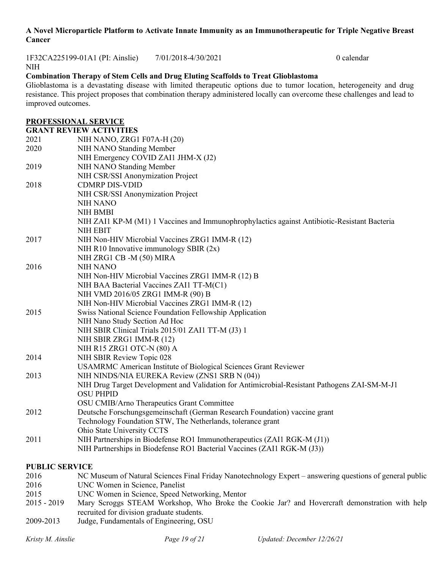#### **A Novel Microparticle Platform to Activate Innate Immunity as an Immunotherapeutic for Triple Negative Breast Cancer**

1F32CA225199-01A1 (PI: Ainslie) 7/01/2018-4/30/2021 0 calendar

#### NIH

# **Combination Therapy of Stem Cells and Drug Eluting Scaffolds to Treat Glioblastoma**

Glioblastoma is a devastating disease with limited therapeutic options due to tumor location, heterogeneity and drug resistance. This project proposes that combination therapy administered locally can overcome these challenges and lead to improved outcomes.

#### **PROFESSIONAL SERVICE**

|      | <b>GRANT REVIEW ACTIVITIES</b>                                                                                    |
|------|-------------------------------------------------------------------------------------------------------------------|
| 2021 | NIH NANO, ZRG1 F07A-H (20)                                                                                        |
| 2020 | NIH NANO Standing Member                                                                                          |
|      | NIH Emergency COVID ZAI1 JHM-X (J2)                                                                               |
| 2019 | NIH NANO Standing Member                                                                                          |
|      | NIH CSR/SSI Anonymization Project                                                                                 |
| 2018 | <b>CDMRP DIS-VDID</b>                                                                                             |
|      | NIH CSR/SSI Anonymization Project                                                                                 |
|      | NIH NANO                                                                                                          |
|      | <b>NIH BMBI</b>                                                                                                   |
|      | NIH ZAI1 KP-M (M1) 1 Vaccines and Immunophrophylactics against Antibiotic-Resistant Bacteria                      |
|      | NIH EBIT                                                                                                          |
| 2017 | NIH Non-HIV Microbial Vaccines ZRG1 IMM-R (12)                                                                    |
|      | NIH R10 Innovative immunology SBIR $(2x)$                                                                         |
|      | NIH ZRG1 CB -M (50) MIRA                                                                                          |
| 2016 | <b>NIH NANO</b>                                                                                                   |
|      | NIH Non-HIV Microbial Vaccines ZRG1 IMM-R (12) B                                                                  |
|      | NIH BAA Bacterial Vaccines ZAI1 TT-M(C1)                                                                          |
|      | NIH VMD 2016/05 ZRG1 IMM-R (90) B                                                                                 |
|      | NIH Non-HIV Microbial Vaccines ZRG1 IMM-R (12)                                                                    |
| 2015 | Swiss National Science Foundation Fellowship Application                                                          |
|      | NIH Nano Study Section Ad Hoc                                                                                     |
|      | NIH SBIR Clinical Trials 2015/01 ZAI1 TT-M (J3) 1                                                                 |
|      | NIH SBIR ZRG1 IMM-R (12)                                                                                          |
|      | NIH R15 ZRG1 OTC-N (80) A                                                                                         |
| 2014 | NIH SBIR Review Topic 028                                                                                         |
| 2013 | USAMRMC American Institute of Biological Sciences Grant Reviewer<br>NIH NINDS/NIA EUREKA Review (ZNS1 SRB N (04)) |
|      | NIH Drug Target Development and Validation for Antimicrobial-Resistant Pathogens ZAI-SM-M-J1                      |
|      | <b>OSU PHPID</b>                                                                                                  |
|      | OSU CMIB/Arno Therapeutics Grant Committee                                                                        |
| 2012 | Deutsche Forschungsgemeinschaft (German Research Foundation) vaccine grant                                        |
|      | Technology Foundation STW, The Netherlands, tolerance grant                                                       |
|      | Ohio State University CCTS                                                                                        |
| 2011 | NIH Partnerships in Biodefense RO1 Immunotherapeutics (ZAI1 RGK-M (J1))                                           |
|      | NIH Partnerships in Biodefense RO1 Bacterial Vaccines (ZAI1 RGK-M (J3))                                           |
|      |                                                                                                                   |

## **PUBLIC SERVICE**

| 2016          | NC Museum of Natural Sciences Final Friday Nanotechnology Expert – answering questions of general public |
|---------------|----------------------------------------------------------------------------------------------------------|
| 2016          | UNC Women in Science, Panelist                                                                           |
| 2015          | UNC Women in Science, Speed Networking, Mentor                                                           |
| $2015 - 2019$ | Mary Scroggs STEAM Workshop, Who Broke the Cookie Jar? and Hovercraft demonstration with help            |
|               | recruited for division graduate students.                                                                |
| 2009-2013     | Judge, Fundamentals of Engineering, OSU                                                                  |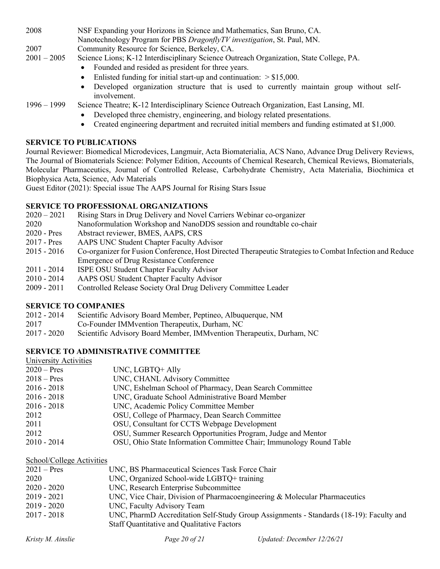2008 NSF Expanding your Horizons in Science and Mathematics, San Bruno, CA.

Nanotechnology Program for PBS *DragonflyTV investigation*, St. Paul, MN.

2007 Community Resource for Science, Berkeley, CA.

- 2001 2005 Science Lions; K-12 Interdisciplinary Science Outreach Organization, State College, PA.
	- Founded and resided as president for three years.
	- Enlisted funding for initial start-up and continuation:  $> $15,000$ .
	- Developed organization structure that is used to currently maintain group without selfinvolvement.

- 1996 1999 Science Theatre; K-12 Interdisciplinary Science Outreach Organization, East Lansing, MI. • Developed three chemistry, engineering, and biology related presentations.
	- Created engineering department and recruited initial members and funding estimated at \$1,000.

## **SERVICE TO PUBLICATIONS**

Journal Reviewer: Biomedical Microdevices, Langmuir, Acta Biomaterialia, ACS Nano, Advance Drug Delivery Reviews, The Journal of Biomaterials Science: Polymer Edition, Accounts of Chemical Research, Chemical Reviews, Biomaterials, Molecular Pharmaceutics, Journal of Controlled Release, Carbohydrate Chemistry, Acta Materialia, Biochimica et Biophysica Acta, Science, Adv Materials

Guest Editor (2021): Special issue The AAPS Journal for Rising Stars Issue

#### **SERVICE TO PROFESSIONAL ORGANIZATIONS**

- 2020 2021 Rising Stars in Drug Delivery and Novel Carriers Webinar co-organizer
- 2020 Nanoformulation Workshop and NanoDDS session and roundtable co-chair
- 2020 Pres Abstract reviewer, BMES, AAPS, CRS
- 2017 Pres AAPS UNC Student Chapter Faculty Advisor
- 2015 2016 Co-organizer for Fusion Conference, Host Directed Therapeutic Strategies to Combat Infection and Reduce Emergence of Drug Resistance Conference
- 2011 2014 ISPE OSU Student Chapter Faculty Advisor
- 2010 2014 AAPS OSU Student Chapter Faculty Advisor
- 2009 2011 Controlled Release Society Oral Drug Delivery Committee Leader

## **SERVICE TO COMPANIES**

- 2012 2014 Scientific Advisory Board Member, Peptineo, Albuquerque, NM
- 2017 Co-Founder IMMvention Therapeutix, Durham, NC
- 2017 2020 Scientific Advisory Board Member, IMMvention Therapeutix, Durham, NC

## **SERVICE TO ADMINISTRATIVE COMMITTEE**

| University Activities |                                                                     |
|-----------------------|---------------------------------------------------------------------|
| $2020 - Pres$         | UNC, LGBTQ+ Ally                                                    |
| $2018 - Pres$         | UNC, CHANL Advisory Committee                                       |
| $2016 - 2018$         | UNC, Eshelman School of Pharmacy, Dean Search Committee             |
| $2016 - 2018$         | UNC, Graduate School Administrative Board Member                    |
| $2016 - 2018$         | UNC, Academic Policy Committee Member                               |
| 2012                  | OSU, College of Pharmacy, Dean Search Committee                     |
| 2011                  | OSU, Consultant for CCTS Webpage Development                        |
| 2012                  | OSU, Summer Research Opportunities Program, Judge and Mentor        |
| $2010 - 2014$         | OSU, Ohio State Information Committee Chair; Immunology Round Table |
|                       |                                                                     |

School/College Activities

| $2021 - Pres$ | UNC, BS Pharmaceutical Sciences Task Force Chair                                        |
|---------------|-----------------------------------------------------------------------------------------|
| 2020          | UNC, Organized School-wide LGBTQ+ training                                              |
| $2020 - 2020$ | UNC, Research Enterprise Subcommittee                                                   |
| $2019 - 2021$ | UNC, Vice Chair, Division of Pharmacoengineering & Molecular Pharmaceutics              |
| $2019 - 2020$ | UNC, Faculty Advisory Team                                                              |
| $2017 - 2018$ | UNC, PharmD Accreditation Self-Study Group Assignments - Standards (18-19): Faculty and |
|               | Staff Quantitative and Qualitative Factors                                              |